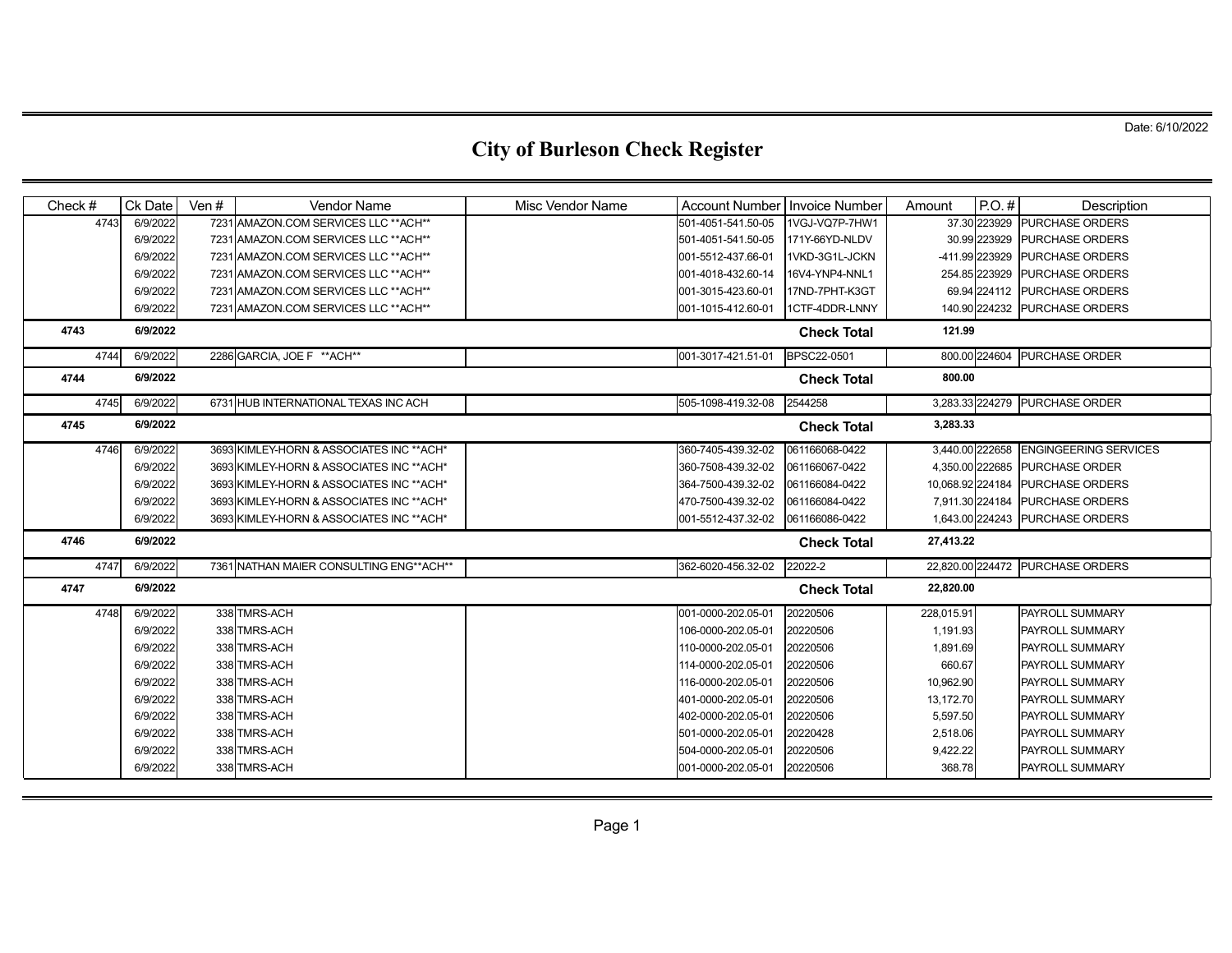| Check $#$ | Ck Date  | Ven $#$ | <b>Vendor Name</b>                        | Misc Vendor Name | Account Number   Invoice Number |                    | Amount           | $P.O.$ #      | Description                     |
|-----------|----------|---------|-------------------------------------------|------------------|---------------------------------|--------------------|------------------|---------------|---------------------------------|
| 4743      | 6/9/2022 |         | 7231 AMAZON.COM SERVICES LLC ** ACH**     |                  | 501-4051-541.50-05              | 1VGJ-VQ7P-7HW1     |                  | 37.30 223929  | <b>PURCHASE ORDERS</b>          |
|           | 6/9/2022 |         | 7231 AMAZON.COM SERVICES LLC ** ACH**     |                  | 501-4051-541.50-05              | 171Y-66YD-NLDV     |                  | 30.99 223929  | <b>PURCHASE ORDERS</b>          |
|           | 6/9/2022 |         | 7231 AMAZON.COM SERVICES LLC ** ACH**     |                  | 001-5512-437.66-01              | 1VKD-3G1L-JCKN     | -411.99 223929   |               | <b>PURCHASE ORDERS</b>          |
|           | 6/9/2022 |         | 7231 AMAZON.COM SERVICES LLC ** ACH**     |                  | 001-4018-432.60-14              | 16V4-YNP4-NNL1     |                  | 254.85 223929 | <b>PURCHASE ORDERS</b>          |
|           | 6/9/2022 |         | 7231 AMAZON.COM SERVICES LLC ** ACH**     |                  | 001-3015-423.60-01              | 17ND-7PHT-K3GT     |                  | 69.94 224112  | <b>PURCHASE ORDERS</b>          |
|           | 6/9/2022 |         | 7231 AMAZON.COM SERVICES LLC ** ACH**     |                  | 001-1015-412.60-01              | 1CTF-4DDR-LNNY     |                  |               | 140.90 224232 PURCHASE ORDERS   |
| 4743      | 6/9/2022 |         |                                           |                  |                                 | <b>Check Total</b> | 121.99           |               |                                 |
| 4744      | 6/9/2022 |         | 2286 GARCIA, JOE F ** ACH**               |                  | 001-3017-421.51-01              | BPSC22-0501        |                  | 800.00 224604 | PURCHASE ORDER                  |
| 4744      | 6/9/2022 |         |                                           |                  |                                 | <b>Check Total</b> | 800.00           |               |                                 |
| 4745      | 6/9/2022 |         | 6731 HUB INTERNATIONAL TEXAS INC ACH      |                  | 505-1098-419.32-08              | 2544258            | 3,283.33 224279  |               | PURCHASE ORDER                  |
| 4745      | 6/9/2022 |         |                                           |                  |                                 | <b>Check Total</b> | 3,283.33         |               |                                 |
| 4746      | 6/9/2022 |         | 3693 KIMLEY-HORN & ASSOCIATES INC ** ACH* |                  | 360-7405-439.32-02              | 061166068-0422     | 3,440.00 222658  |               | <b>ENGINGEERING SERVICES</b>    |
|           | 6/9/2022 |         | 3693 KIMLEY-HORN & ASSOCIATES INC ** ACH* |                  | 360-7508-439.32-02              | 061166067-0422     | 4,350.00 222685  |               | <b>PURCHASE ORDER</b>           |
|           | 6/9/2022 |         | 3693 KIMLEY-HORN & ASSOCIATES INC ** ACH* |                  | 364-7500-439.32-02              | 061166084-0422     | 10,068.92 224184 |               | <b>PURCHASE ORDERS</b>          |
|           | 6/9/2022 |         | 3693 KIMLEY-HORN & ASSOCIATES INC ** ACH* |                  | 470-7500-439.32-02              | 061166084-0422     | 7,911.30 224184  |               | <b>PURCHASE ORDERS</b>          |
|           | 6/9/2022 |         | 3693 KIMLEY-HORN & ASSOCIATES INC ** ACH* |                  | 001-5512-437.32-02              | 061166086-0422     |                  |               | 1,643.00 224243 PURCHASE ORDERS |
| 4746      | 6/9/2022 |         |                                           |                  |                                 | <b>Check Total</b> | 27,413.22        |               |                                 |
| 4747      | 6/9/2022 |         | 7361 NATHAN MAIER CONSULTING ENG**ACH**   |                  | 362-6020-456.32-02              | 22022-2            | 22,820.00 224472 |               | <b>PURCHASE ORDERS</b>          |
| 4747      | 6/9/2022 |         |                                           |                  |                                 | <b>Check Total</b> | 22,820.00        |               |                                 |
| 4748      | 6/9/2022 |         | 338 TMRS-ACH                              |                  | 001-0000-202.05-01              | 20220506           | 228,015.91       |               | PAYROLL SUMMARY                 |
|           | 6/9/2022 |         | 338 TMRS-ACH                              |                  | 106-0000-202.05-01              | 20220506           | 1,191.93         |               | PAYROLL SUMMARY                 |
|           | 6/9/2022 |         | 338 TMRS-ACH                              |                  | 110-0000-202.05-01              | 20220506           | 1,891.69         |               | PAYROLL SUMMARY                 |
|           | 6/9/2022 |         | 338 TMRS-ACH                              |                  | 114-0000-202.05-01              | 20220506           | 660.67           |               | PAYROLL SUMMARY                 |
|           | 6/9/2022 |         | 338 TMRS-ACH                              |                  | 116-0000-202.05-01              | 20220506           | 10,962.90        |               | <b>PAYROLL SUMMARY</b>          |
|           | 6/9/2022 |         | 338 TMRS-ACH                              |                  | 401-0000-202.05-01              | 20220506           | 13,172.70        |               | <b>PAYROLL SUMMARY</b>          |
|           | 6/9/2022 |         | 338 TMRS-ACH                              |                  | 402-0000-202.05-01              | 20220506           | 5,597.50         |               | PAYROLL SUMMARY                 |
|           | 6/9/2022 |         | 338 TMRS-ACH                              |                  | 501-0000-202.05-01              | 20220428           | 2,518.06         |               | PAYROLL SUMMARY                 |
|           | 6/9/2022 |         | 338 TMRS-ACH                              |                  | 504-0000-202.05-01              | 20220506           | 9,422.22         |               | PAYROLL SUMMARY                 |
|           | 6/9/2022 |         | 338 TMRS-ACH                              |                  | 001-0000-202.05-01              | 20220506           | 368.78           |               | PAYROLL SUMMARY                 |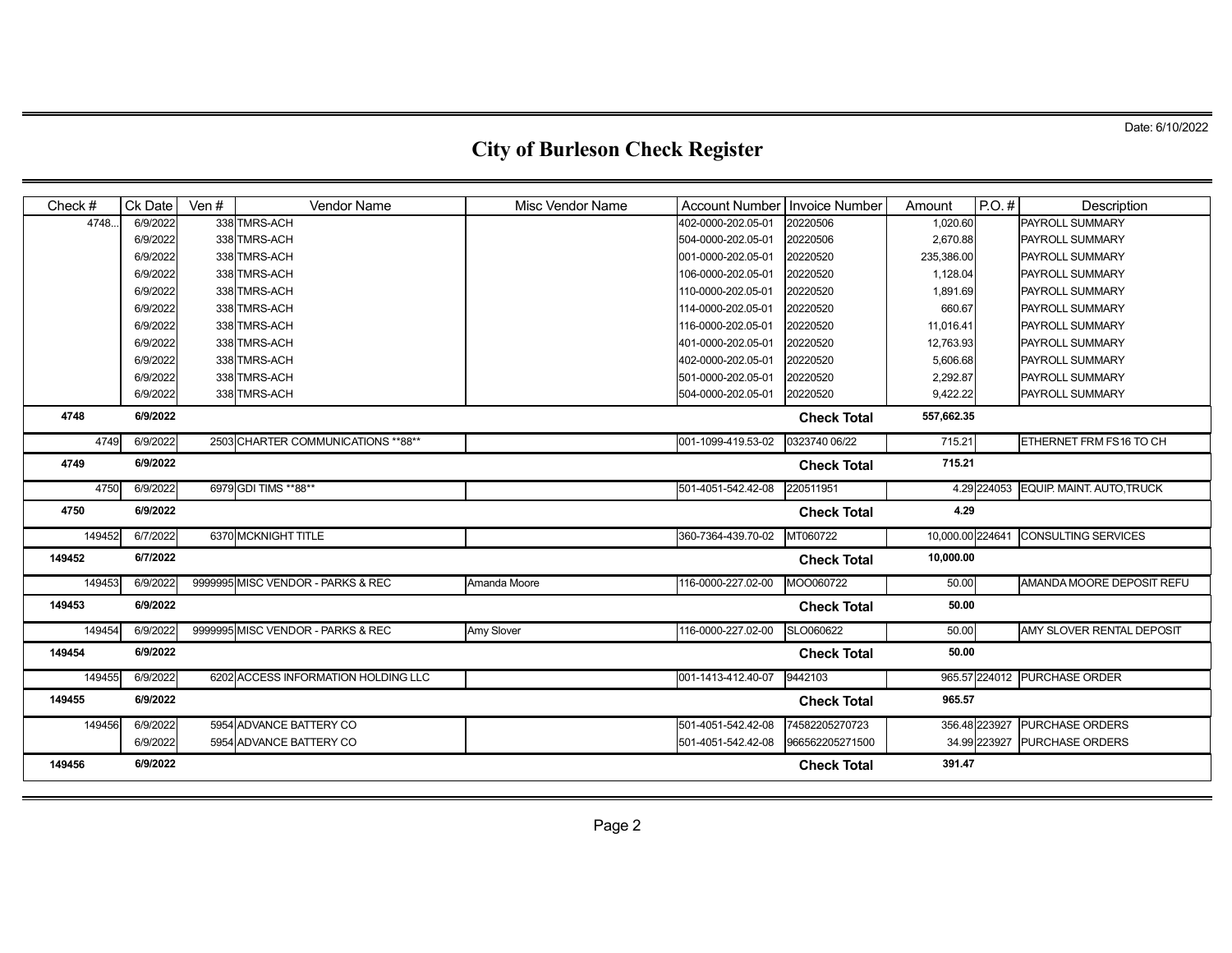| Check# | Ck Date  | Ven # | <b>Vendor Name</b>                  | <b>Misc Vendor Name</b> | Account Number Invoice Number |                    | Amount           | $P.O.$ #      | Description                  |
|--------|----------|-------|-------------------------------------|-------------------------|-------------------------------|--------------------|------------------|---------------|------------------------------|
| 4748.  | 6/9/2022 |       | 338 TMRS-ACH                        |                         | 402-0000-202.05-01            | 20220506           | 1,020.60         |               | PAYROLL SUMMARY              |
|        | 6/9/2022 |       | 338 TMRS-ACH                        |                         | 504-0000-202.05-01            | 20220506           | 2,670.88         |               | PAYROLL SUMMARY              |
|        | 6/9/2022 |       | 338 TMRS-ACH                        |                         | 001-0000-202.05-01            | 20220520           | 235,386.00       |               | PAYROLL SUMMARY              |
|        | 6/9/2022 |       | 338 TMRS-ACH                        |                         | 106-0000-202.05-01            | 20220520           | 1,128.04         |               | PAYROLL SUMMARY              |
|        | 6/9/2022 |       | 338 TMRS-ACH                        |                         | 110-0000-202.05-01            | 20220520           | 1,891.69         |               | PAYROLL SUMMARY              |
|        | 6/9/2022 |       | 338 TMRS-ACH                        |                         | 114-0000-202.05-01            | 20220520           | 660.67           |               | PAYROLL SUMMARY              |
|        | 6/9/2022 |       | 338 TMRS-ACH                        |                         | 116-0000-202.05-01            | 20220520           | 11,016.41        |               | PAYROLL SUMMARY              |
|        | 6/9/2022 |       | 338 TMRS-ACH                        |                         | 401-0000-202.05-01            | 20220520           | 12,763.93        |               | PAYROLL SUMMARY              |
|        | 6/9/2022 |       | 338 TMRS-ACH                        |                         | 402-0000-202.05-01            | 20220520           | 5,606.68         |               | PAYROLL SUMMARY              |
|        | 6/9/2022 |       | 338 TMRS-ACH                        |                         | 501-0000-202.05-01            | 20220520           | 2,292.87         |               | PAYROLL SUMMARY              |
|        | 6/9/2022 |       | 338 TMRS-ACH                        |                         | 504-0000-202.05-01            | 20220520           | 9,422.22         |               | PAYROLL SUMMARY              |
| 4748   | 6/9/2022 |       |                                     |                         |                               | <b>Check Total</b> | 557,662.35       |               |                              |
| 4749   | 6/9/2022 |       | 2503 CHARTER COMMUNICATIONS ** 88** |                         | 001-1099-419.53-02            | 0323740 06/22      | 715.21           |               | ETHERNET FRM FS16 TO CH      |
| 4749   | 6/9/2022 |       |                                     |                         |                               | <b>Check Total</b> | 715.21           |               |                              |
| 4750   | 6/9/2022 |       | 6979 GDI TIMS ** 88**               |                         | 501-4051-542.42-08            | 220511951          |                  | 4.29 224053   | EQUIP. MAINT. AUTO, TRUCK    |
| 4750   | 6/9/2022 |       |                                     |                         |                               | <b>Check Total</b> | 4.29             |               |                              |
| 149452 | 6/7/2022 |       | 6370 MCKNIGHT TITLE                 |                         | 360-7364-439.70-02            | MT060722           | 10,000.00 224641 |               | <b>CONSULTING SERVICES</b>   |
| 149452 | 6/7/2022 |       |                                     |                         |                               | <b>Check Total</b> | 10,000.00        |               |                              |
| 149453 | 6/9/2022 |       | 9999995 MISC VENDOR - PARKS & REC   | Amanda Moore            | 116-0000-227.02-00            | MOO060722          | 50.00            |               | AMANDA MOORE DEPOSIT REFU    |
| 149453 | 6/9/2022 |       |                                     |                         |                               | <b>Check Total</b> | 50.00            |               |                              |
| 149454 | 6/9/2022 |       | 9999995 MISC VENDOR - PARKS & REC   | <b>Amy Slover</b>       | 116-0000-227.02-00            | SLO060622          | 50.00            |               | AMY SLOVER RENTAL DEPOSIT    |
| 149454 | 6/9/2022 |       |                                     |                         |                               | <b>Check Total</b> | 50.00            |               |                              |
| 149455 | 6/9/2022 |       | 6202 ACCESS INFORMATION HOLDING LLC |                         | 001-1413-412.40-07            | 9442103            |                  |               | 965.57 224012 PURCHASE ORDER |
| 149455 | 6/9/2022 |       |                                     |                         |                               | <b>Check Total</b> | 965.57           |               |                              |
| 149456 | 6/9/2022 |       | 5954 ADVANCE BATTERY CO             |                         | 501-4051-542.42-08            | 74582205270723     |                  | 356.48 223927 | <b>PURCHASE ORDERS</b>       |
|        | 6/9/2022 |       | 5954 ADVANCE BATTERY CO             |                         | 501-4051-542.42-08            | 966562205271500    |                  | 34.99 223927  | <b>PURCHASE ORDERS</b>       |
| 149456 | 6/9/2022 |       |                                     |                         |                               | <b>Check Total</b> | 391.47           |               |                              |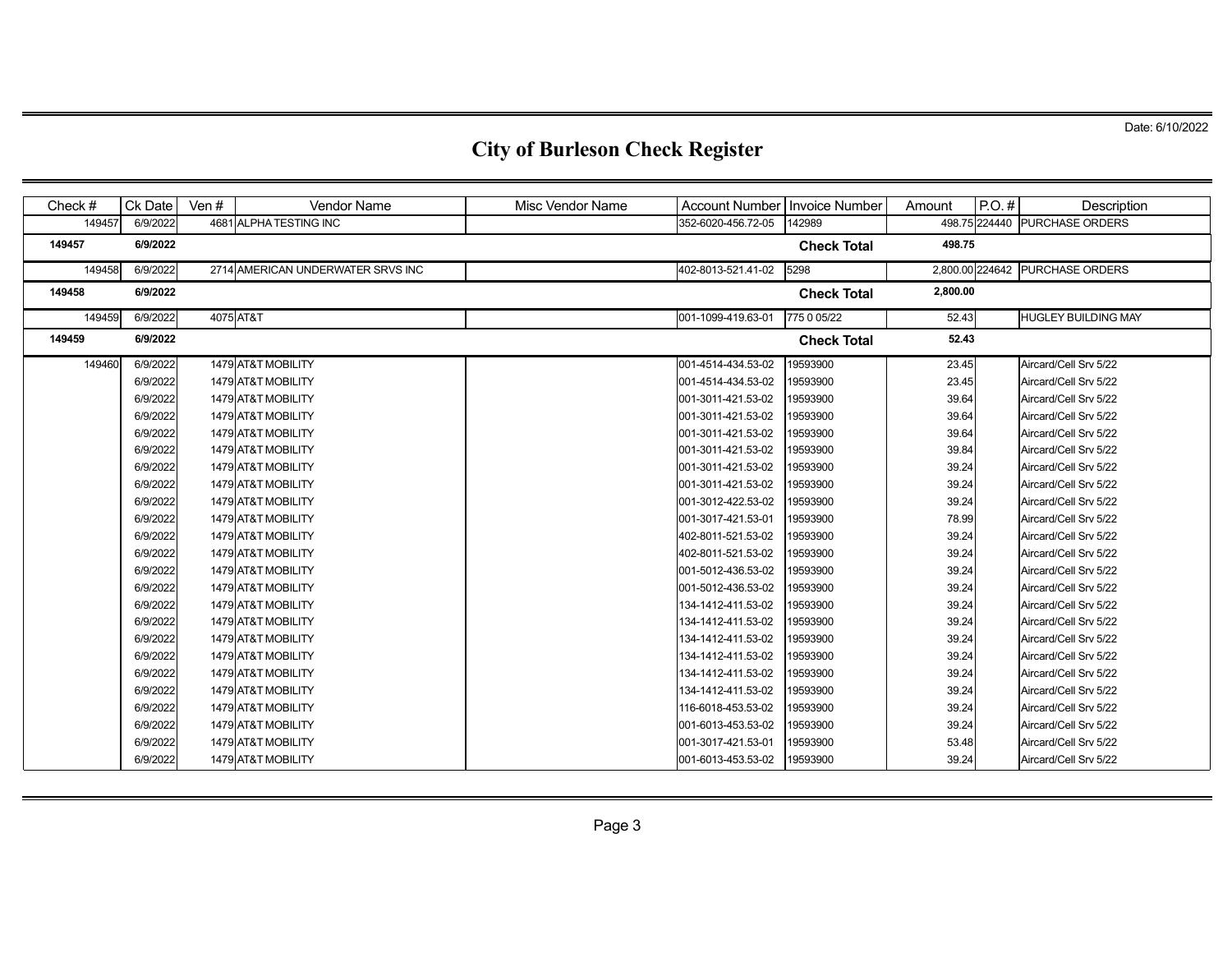| Check # | Ck Date  | Ven #     | <b>Vendor Name</b>                | Misc Vendor Name | Account Number   Invoice Number |                    | Amount   | $P.O.$ # | Description                     |
|---------|----------|-----------|-----------------------------------|------------------|---------------------------------|--------------------|----------|----------|---------------------------------|
| 149457  | 6/9/2022 |           | 4681 ALPHA TESTING INC            |                  | 352-6020-456.72-05              | 142989             |          |          | 498.75 224440 PURCHASE ORDERS   |
| 149457  | 6/9/2022 |           |                                   |                  |                                 | <b>Check Total</b> | 498.75   |          |                                 |
| 149458  | 6/9/2022 |           | 2714 AMERICAN UNDERWATER SRVS INC |                  | 402-8013-521.41-02              | 5298               |          |          | 2,800.00 224642 PURCHASE ORDERS |
| 149458  | 6/9/2022 |           |                                   |                  |                                 | <b>Check Total</b> | 2,800.00 |          |                                 |
| 149459  | 6/9/2022 | 4075 AT&T |                                   |                  | 001-1099-419.63-01              | 775 0 05/22        | 52.43    |          | <b>HUGLEY BUILDING MAY</b>      |
| 149459  | 6/9/2022 |           |                                   |                  |                                 | <b>Check Total</b> | 52.43    |          |                                 |
| 149460  | 6/9/2022 |           | 1479 AT&T MOBILITY                |                  | 001-4514-434.53-02              | 19593900           | 23.45    |          | Aircard/Cell Srv 5/22           |
|         | 6/9/2022 |           | 1479 AT&T MOBILITY                |                  | 001-4514-434.53-02              | 19593900           | 23.45    |          | Aircard/Cell Srv 5/22           |
|         | 6/9/2022 |           | 1479 AT&T MOBILITY                |                  | 001-3011-421.53-02              | 19593900           | 39.64    |          | Aircard/Cell Srv 5/22           |
|         | 6/9/2022 |           | 1479 AT&T MOBILITY                |                  | 001-3011-421.53-02              | 19593900           | 39.64    |          | Aircard/Cell Srv 5/22           |
|         | 6/9/2022 |           | 1479 AT&T MOBILITY                |                  | 001-3011-421.53-02              | 19593900           | 39.64    |          | Aircard/Cell Srv 5/22           |
|         | 6/9/2022 |           | 1479 AT&T MOBILITY                |                  | 001-3011-421.53-02              | 19593900           | 39.84    |          | Aircard/Cell Srv 5/22           |
|         | 6/9/2022 |           | 1479 AT&T MOBILITY                |                  | 001-3011-421.53-02              | 19593900           | 39.24    |          | Aircard/Cell Srv 5/22           |
|         | 6/9/2022 |           | 1479 AT&T MOBILITY                |                  | 001-3011-421.53-02              | 19593900           | 39.24    |          | Aircard/Cell Srv 5/22           |
|         | 6/9/2022 |           | 1479 AT&T MOBILITY                |                  | 001-3012-422.53-02              | 19593900           | 39.24    |          | Aircard/Cell Srv 5/22           |
|         | 6/9/2022 |           | 1479 AT&T MOBILITY                |                  | 001-3017-421.53-01              | 19593900           | 78.99    |          | Aircard/Cell Srv 5/22           |
|         | 6/9/2022 |           | 1479 AT&T MOBILITY                |                  | 402-8011-521.53-02              | 19593900           | 39.24    |          | Aircard/Cell Srv 5/22           |
|         | 6/9/2022 |           | 1479 AT&T MOBILITY                |                  | 402-8011-521.53-02              | 19593900           | 39.24    |          | Aircard/Cell Srv 5/22           |
|         | 6/9/2022 |           | 1479 AT&T MOBILITY                |                  | 001-5012-436.53-02              | 19593900           | 39.24    |          | Aircard/Cell Srv 5/22           |
|         | 6/9/2022 |           | 1479 AT&T MOBILITY                |                  | 001-5012-436.53-02              | 19593900           | 39.24    |          | Aircard/Cell Srv 5/22           |
|         | 6/9/2022 |           | 1479 AT&T MOBILITY                |                  | 134-1412-411.53-02              | 19593900           | 39.24    |          | Aircard/Cell Srv 5/22           |
|         | 6/9/2022 |           | 1479 AT&T MOBILITY                |                  | 134-1412-411.53-02              | 19593900           | 39.24    |          | Aircard/Cell Srv 5/22           |
|         | 6/9/2022 |           | 1479 AT&T MOBILITY                |                  | 134-1412-411.53-02              | 19593900           | 39.24    |          | Aircard/Cell Srv 5/22           |
|         | 6/9/2022 |           | 1479 AT&T MOBILITY                |                  | 134-1412-411.53-02              | 19593900           | 39.24    |          | Aircard/Cell Srv 5/22           |
|         | 6/9/2022 |           | 1479 AT&T MOBILITY                |                  | 134-1412-411.53-02              | 19593900           | 39.24    |          | Aircard/Cell Srv 5/22           |
|         | 6/9/2022 |           | 1479 AT&T MOBILITY                |                  | 134-1412-411.53-02              | 19593900           | 39.24    |          | Aircard/Cell Srv 5/22           |
|         | 6/9/2022 |           | 1479 AT&T MOBILITY                |                  | 116-6018-453.53-02              | 19593900           | 39.24    |          | Aircard/Cell Srv 5/22           |
|         | 6/9/2022 |           | 1479 AT&T MOBILITY                |                  | 001-6013-453.53-02              | 19593900           | 39.24    |          | Aircard/Cell Srv 5/22           |
|         | 6/9/2022 |           | 1479 AT&T MOBILITY                |                  | 001-3017-421.53-01              | 19593900           | 53.48    |          | Aircard/Cell Srv 5/22           |
|         | 6/9/2022 |           | 1479 AT&T MOBILITY                |                  | 001-6013-453.53-02              | 19593900           | 39.24    |          | Aircard/Cell Srv 5/22           |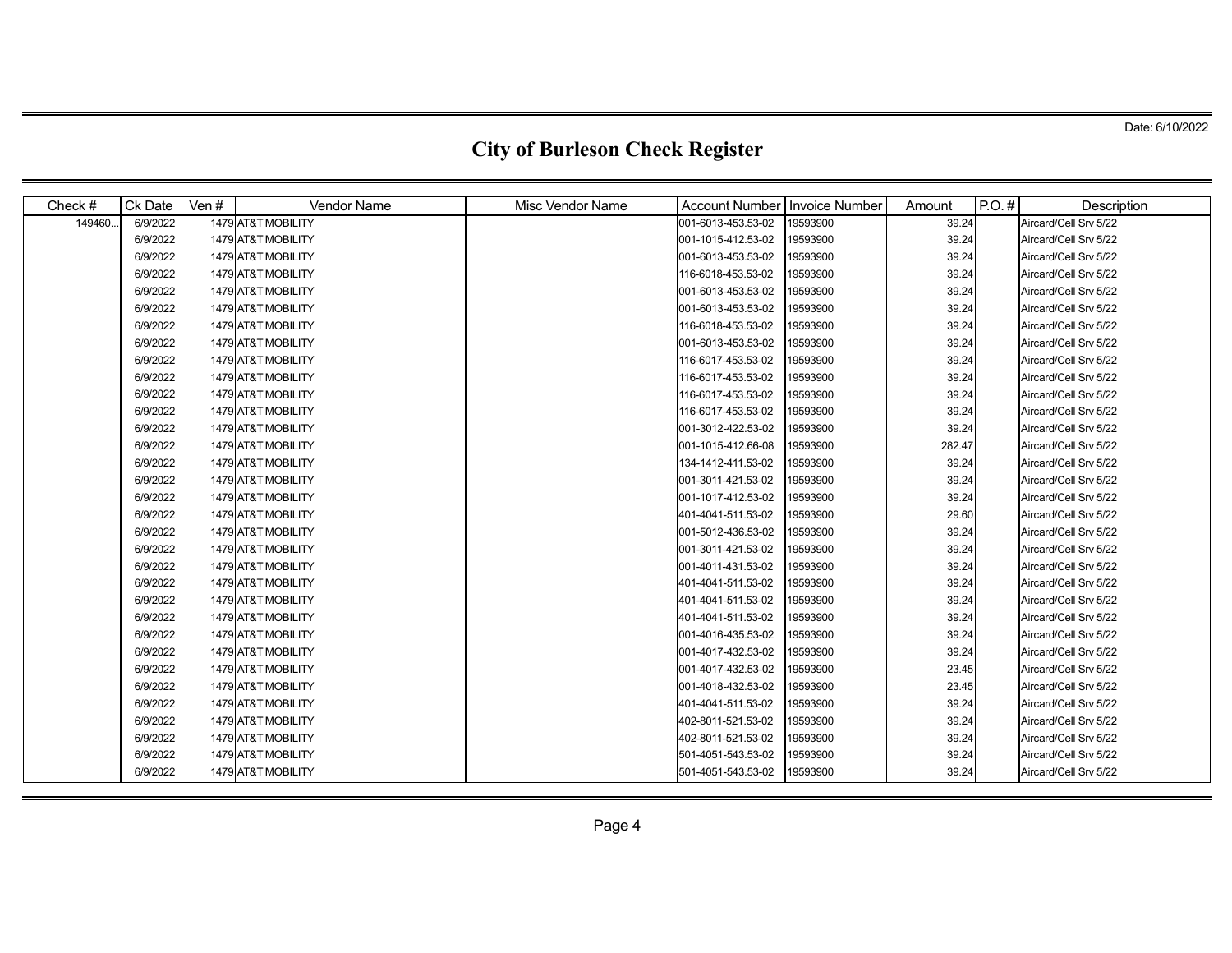| Check#  | Ck Date  | Ven $#$ | <b>Vendor Name</b> | <b>Misc Vendor Name</b> | <b>Account Number</b> | <b>Invoice Number</b> | Amount | $P.O.$ # | Description           |
|---------|----------|---------|--------------------|-------------------------|-----------------------|-----------------------|--------|----------|-----------------------|
| 149460. | 6/9/2022 |         | 1479 AT&T MOBILITY |                         | 001-6013-453.53-02    | 19593900              | 39.24  |          | Aircard/Cell Srv 5/22 |
|         | 6/9/2022 |         | 1479 AT&T MOBILITY |                         | 001-1015-412.53-02    | 19593900              | 39.24  |          | Aircard/Cell Srv 5/22 |
|         | 6/9/2022 |         | 1479 AT&T MOBILITY |                         | 001-6013-453.53-02    | 19593900              | 39.24  |          | Aircard/Cell Srv 5/22 |
|         | 6/9/2022 |         | 1479 AT&T MOBILITY |                         | 116-6018-453.53-02    | 19593900              | 39.24  |          | Aircard/Cell Srv 5/22 |
|         | 6/9/2022 |         | 1479 AT&T MOBILITY |                         | 001-6013-453.53-02    | 19593900              | 39.24  |          | Aircard/Cell Srv 5/22 |
|         | 6/9/2022 |         | 1479 AT&T MOBILITY |                         | 001-6013-453.53-02    | 19593900              | 39.24  |          | Aircard/Cell Srv 5/22 |
|         | 6/9/2022 |         | 1479 AT&T MOBILITY |                         | 116-6018-453.53-02    | 19593900              | 39.24  |          | Aircard/Cell Srv 5/22 |
|         | 6/9/2022 |         | 1479 AT&T MOBILITY |                         | 001-6013-453.53-02    | 19593900              | 39.24  |          | Aircard/Cell Srv 5/22 |
|         | 6/9/2022 |         | 1479 AT&T MOBILITY |                         | 116-6017-453.53-02    | 19593900              | 39.24  |          | Aircard/Cell Srv 5/22 |
|         | 6/9/2022 |         | 1479 AT&T MOBILITY |                         | 116-6017-453.53-02    | 19593900              | 39.24  |          | Aircard/Cell Srv 5/22 |
|         | 6/9/2022 |         | 1479 AT&T MOBILITY |                         | 116-6017-453.53-02    | 19593900              | 39.24  |          | Aircard/Cell Srv 5/22 |
|         | 6/9/2022 |         | 1479 AT&T MOBILITY |                         | 116-6017-453.53-02    | 19593900              | 39.24  |          | Aircard/Cell Srv 5/22 |
|         | 6/9/2022 |         | 1479 AT&T MOBILITY |                         | 001-3012-422.53-02    | 19593900              | 39.24  |          | Aircard/Cell Srv 5/22 |
|         | 6/9/2022 |         | 1479 AT&T MOBILITY |                         | 001-1015-412.66-08    | 19593900              | 282.47 |          | Aircard/Cell Srv 5/22 |
|         | 6/9/2022 |         | 1479 AT&T MOBILITY |                         | 134-1412-411.53-02    | 19593900              | 39.24  |          | Aircard/Cell Srv 5/22 |
|         | 6/9/2022 |         | 1479 AT&T MOBILITY |                         | 001-3011-421.53-02    | 19593900              | 39.24  |          | Aircard/Cell Srv 5/22 |
|         | 6/9/2022 |         | 1479 AT&T MOBILITY |                         | 001-1017-412.53-02    | 19593900              | 39.24  |          | Aircard/Cell Srv 5/22 |
|         | 6/9/2022 |         | 1479 AT&T MOBILITY |                         | 401-4041-511.53-02    | 19593900              | 29.60  |          | Aircard/Cell Srv 5/22 |
|         | 6/9/2022 |         | 1479 AT&T MOBILITY |                         | 001-5012-436.53-02    | 19593900              | 39.24  |          | Aircard/Cell Srv 5/22 |
|         | 6/9/2022 |         | 1479 AT&T MOBILITY |                         | 001-3011-421.53-02    | 19593900              | 39.24  |          | Aircard/Cell Srv 5/22 |
|         | 6/9/2022 |         | 1479 AT&T MOBILITY |                         | 001-4011-431.53-02    | 19593900              | 39.24  |          | Aircard/Cell Srv 5/22 |
|         | 6/9/2022 |         | 1479 AT&T MOBILITY |                         | 401-4041-511.53-02    | 19593900              | 39.24  |          | Aircard/Cell Srv 5/22 |
|         | 6/9/2022 |         | 1479 AT&T MOBILITY |                         | 401-4041-511.53-02    | 19593900              | 39.24  |          | Aircard/Cell Srv 5/22 |
|         | 6/9/2022 |         | 1479 AT&T MOBILITY |                         | 401-4041-511.53-02    | 19593900              | 39.24  |          | Aircard/Cell Srv 5/22 |
|         | 6/9/2022 |         | 1479 AT&T MOBILITY |                         | 001-4016-435.53-02    | 19593900              | 39.24  |          | Aircard/Cell Srv 5/22 |
|         | 6/9/2022 |         | 1479 AT&T MOBILITY |                         | 001-4017-432.53-02    | 19593900              | 39.24  |          | Aircard/Cell Srv 5/22 |
|         | 6/9/2022 |         | 1479 AT&T MOBILITY |                         | 001-4017-432.53-02    | 19593900              | 23.45  |          | Aircard/Cell Srv 5/22 |
|         | 6/9/2022 |         | 1479 AT&T MOBILITY |                         | 001-4018-432.53-02    | 19593900              | 23.45  |          | Aircard/Cell Srv 5/22 |
|         | 6/9/2022 |         | 1479 AT&T MOBILITY |                         | 401-4041-511.53-02    | 19593900              | 39.24  |          | Aircard/Cell Srv 5/22 |
|         | 6/9/2022 |         | 1479 AT&T MOBILITY |                         | 402-8011-521.53-02    | 19593900              | 39.24  |          | Aircard/Cell Srv 5/22 |
|         | 6/9/2022 |         | 1479 AT&T MOBILITY |                         | 402-8011-521.53-02    | 19593900              | 39.24  |          | Aircard/Cell Srv 5/22 |
|         | 6/9/2022 |         | 1479 AT&T MOBILITY |                         | 501-4051-543.53-02    | 19593900              | 39.24  |          | Aircard/Cell Srv 5/22 |
|         | 6/9/2022 |         | 1479 AT&T MOBILITY |                         | 501-4051-543.53-02    | 19593900              | 39.24  |          | Aircard/Cell Srv 5/22 |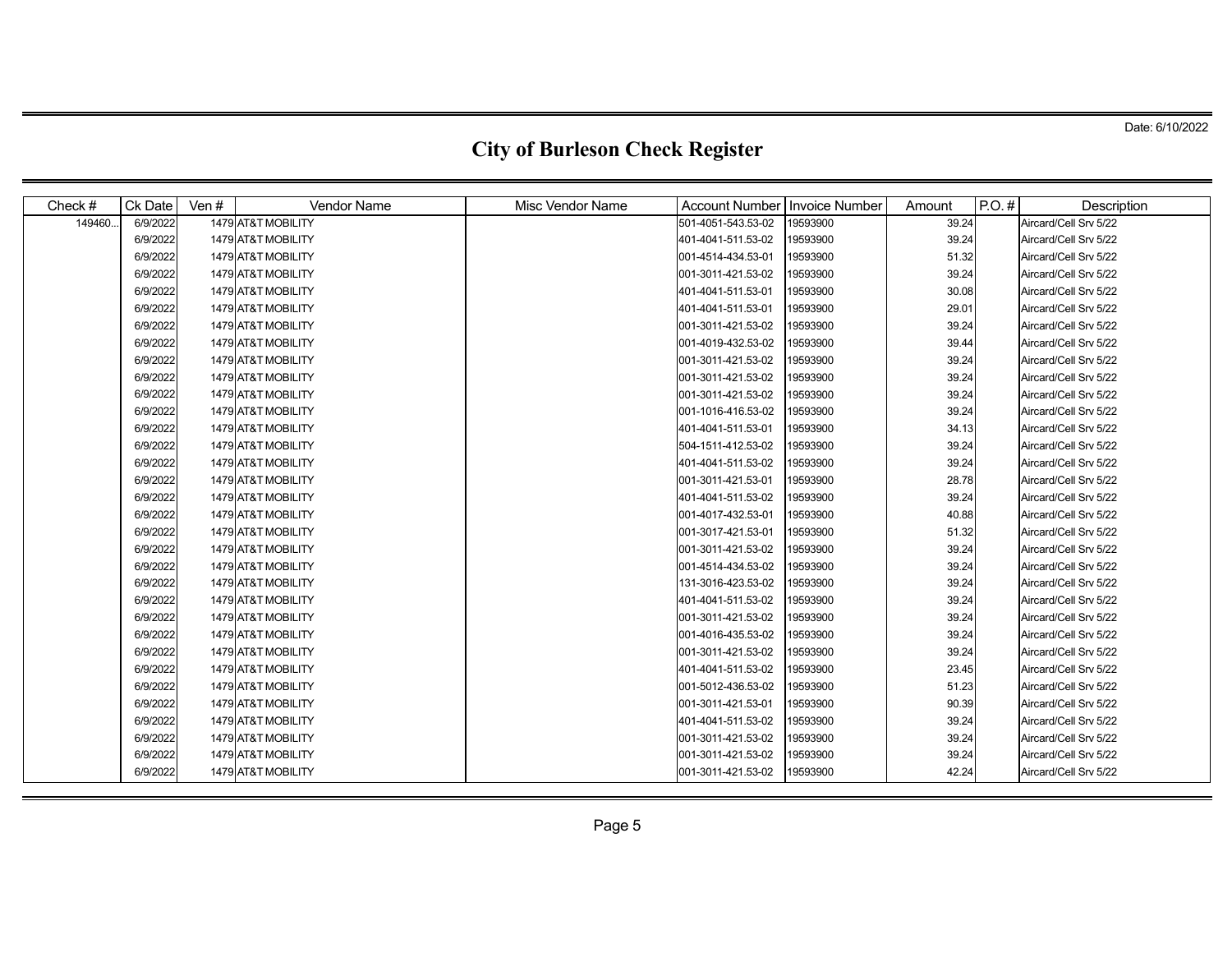| Check # | Ck Date  | Ven # | <b>Vendor Name</b> | <b>Misc Vendor Name</b> | <b>Account Number</b> | <b>Invoice Number</b> | Amount | $P.O.$ # | Description           |
|---------|----------|-------|--------------------|-------------------------|-----------------------|-----------------------|--------|----------|-----------------------|
| 149460. | 6/9/2022 |       | 1479 AT&T MOBILITY |                         | 501-4051-543.53-02    | 19593900              | 39.24  |          | Aircard/Cell Srv 5/22 |
|         | 6/9/2022 |       | 1479 AT&T MOBILITY |                         | 401-4041-511.53-02    | 19593900              | 39.24  |          | Aircard/Cell Srv 5/22 |
|         | 6/9/2022 |       | 1479 AT&T MOBILITY |                         | 001-4514-434.53-01    | 19593900              | 51.32  |          | Aircard/Cell Srv 5/22 |
|         | 6/9/2022 |       | 1479 AT&T MOBILITY |                         | 001-3011-421.53-02    | 19593900              | 39.24  |          | Aircard/Cell Srv 5/22 |
|         | 6/9/2022 |       | 1479 AT&T MOBILITY |                         | 401-4041-511.53-01    | 19593900              | 30.08  |          | Aircard/Cell Srv 5/22 |
|         | 6/9/2022 |       | 1479 AT&T MOBILITY |                         | 401-4041-511.53-01    | 19593900              | 29.01  |          | Aircard/Cell Srv 5/22 |
|         | 6/9/2022 |       | 1479 AT&T MOBILITY |                         | 001-3011-421.53-02    | 19593900              | 39.24  |          | Aircard/Cell Srv 5/22 |
|         | 6/9/2022 |       | 1479 AT&T MOBILITY |                         | 001-4019-432.53-02    | 19593900              | 39.44  |          | Aircard/Cell Srv 5/22 |
|         | 6/9/2022 |       | 1479 AT&T MOBILITY |                         | 001-3011-421.53-02    | 19593900              | 39.24  |          | Aircard/Cell Srv 5/22 |
|         | 6/9/2022 |       | 1479 AT&T MOBILITY |                         | 001-3011-421.53-02    | 19593900              | 39.24  |          | Aircard/Cell Srv 5/22 |
|         | 6/9/2022 |       | 1479 AT&T MOBILITY |                         | 001-3011-421.53-02    | 19593900              | 39.24  |          | Aircard/Cell Srv 5/22 |
|         | 6/9/2022 |       | 1479 AT&T MOBILITY |                         | 001-1016-416.53-02    | 19593900              | 39.24  |          | Aircard/Cell Srv 5/22 |
|         | 6/9/2022 |       | 1479 AT&T MOBILITY |                         | 401-4041-511.53-01    | 19593900              | 34.13  |          | Aircard/Cell Srv 5/22 |
|         | 6/9/2022 |       | 1479 AT&T MOBILITY |                         | 504-1511-412.53-02    | 19593900              | 39.24  |          | Aircard/Cell Srv 5/22 |
|         | 6/9/2022 |       | 1479 AT&T MOBILITY |                         | 401-4041-511.53-02    | 19593900              | 39.24  |          | Aircard/Cell Srv 5/22 |
|         | 6/9/2022 |       | 1479 AT&T MOBILITY |                         | 001-3011-421.53-01    | 19593900              | 28.78  |          | Aircard/Cell Srv 5/22 |
|         | 6/9/2022 |       | 1479 AT&T MOBILITY |                         | 401-4041-511.53-02    | 19593900              | 39.24  |          | Aircard/Cell Srv 5/22 |
|         | 6/9/2022 |       | 1479 AT&T MOBILITY |                         | 001-4017-432.53-01    | 19593900              | 40.88  |          | Aircard/Cell Srv 5/22 |
|         | 6/9/2022 |       | 1479 AT&T MOBILITY |                         | 001-3017-421.53-01    | 19593900              | 51.32  |          | Aircard/Cell Srv 5/22 |
|         | 6/9/2022 |       | 1479 AT&T MOBILITY |                         | 001-3011-421.53-02    | 19593900              | 39.24  |          | Aircard/Cell Srv 5/22 |
|         | 6/9/2022 |       | 1479 AT&T MOBILITY |                         | 001-4514-434.53-02    | 19593900              | 39.24  |          | Aircard/Cell Srv 5/22 |
|         | 6/9/2022 |       | 1479 AT&T MOBILITY |                         | 131-3016-423.53-02    | 19593900              | 39.24  |          | Aircard/Cell Srv 5/22 |
|         | 6/9/2022 |       | 1479 AT&T MOBILITY |                         | 401-4041-511.53-02    | 19593900              | 39.24  |          | Aircard/Cell Srv 5/22 |
|         | 6/9/2022 |       | 1479 AT&T MOBILITY |                         | 001-3011-421.53-02    | 19593900              | 39.24  |          | Aircard/Cell Srv 5/22 |
|         | 6/9/2022 |       | 1479 AT&T MOBILITY |                         | 001-4016-435.53-02    | 19593900              | 39.24  |          | Aircard/Cell Srv 5/22 |
|         | 6/9/2022 |       | 1479 AT&T MOBILITY |                         | 001-3011-421.53-02    | 19593900              | 39.24  |          | Aircard/Cell Srv 5/22 |
|         | 6/9/2022 |       | 1479 AT&T MOBILITY |                         | 401-4041-511.53-02    | 19593900              | 23.45  |          | Aircard/Cell Srv 5/22 |
|         | 6/9/2022 |       | 1479 AT&T MOBILITY |                         | 001-5012-436.53-02    | 19593900              | 51.23  |          | Aircard/Cell Srv 5/22 |
|         | 6/9/2022 |       | 1479 AT&T MOBILITY |                         | 001-3011-421.53-01    | 19593900              | 90.39  |          | Aircard/Cell Srv 5/22 |
|         | 6/9/2022 |       | 1479 AT&T MOBILITY |                         | 401-4041-511.53-02    | 19593900              | 39.24  |          | Aircard/Cell Srv 5/22 |
|         | 6/9/2022 |       | 1479 AT&T MOBILITY |                         | 001-3011-421.53-02    | 19593900              | 39.24  |          | Aircard/Cell Srv 5/22 |
|         | 6/9/2022 |       | 1479 AT&T MOBILITY |                         | 001-3011-421.53-02    | 19593900              | 39.24  |          | Aircard/Cell Srv 5/22 |
|         | 6/9/2022 |       | 1479 AT&T MOBILITY |                         | 001-3011-421.53-02    | 19593900              | 42.24  |          | Aircard/Cell Srv 5/22 |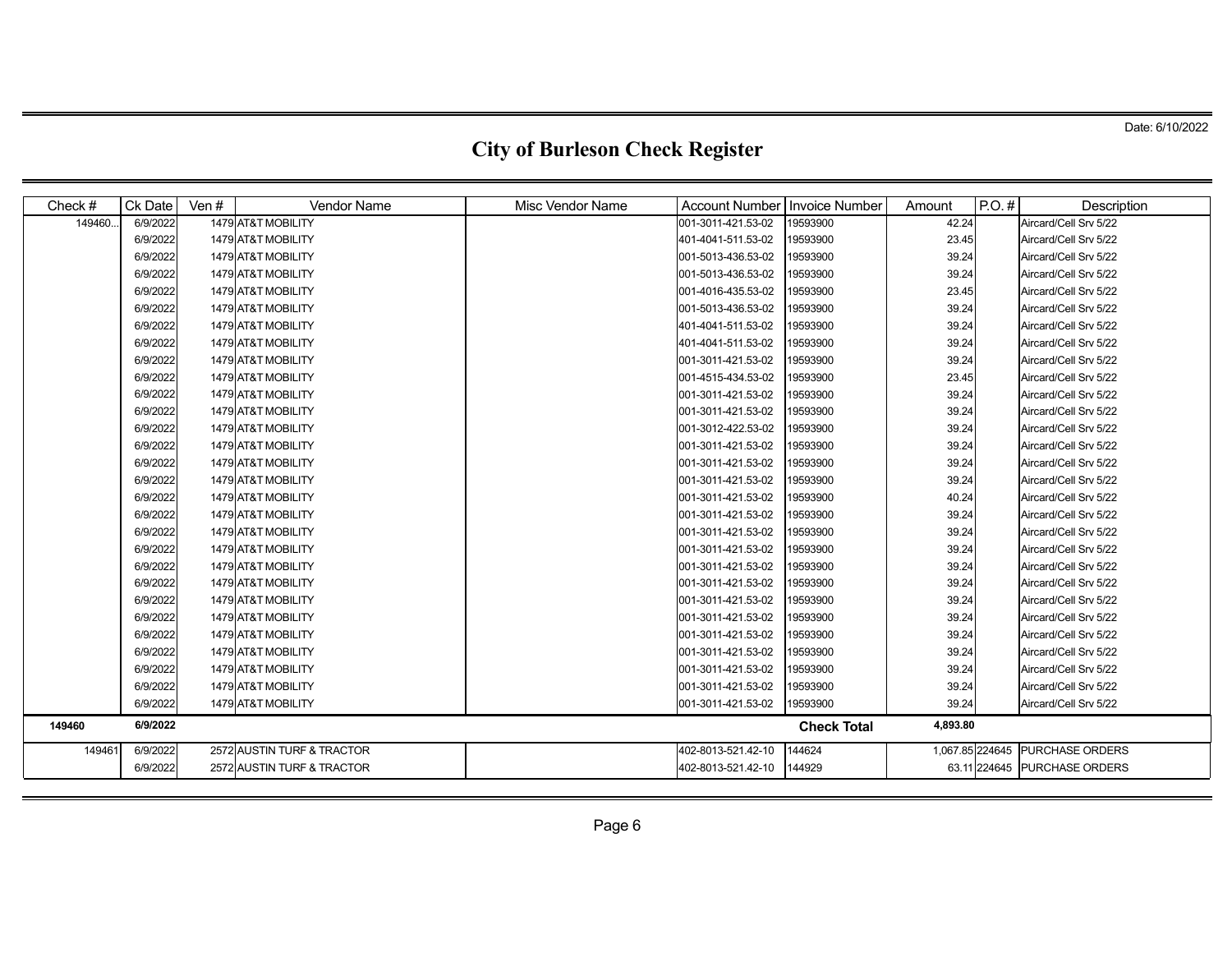| Check $#$ | Ck Date  | Ven $#$ | <b>Vendor Name</b>         | Misc Vendor Name | <b>Account Number</b> | Invoice Number     | Amount   | $P.O.$ # | Description                     |
|-----------|----------|---------|----------------------------|------------------|-----------------------|--------------------|----------|----------|---------------------------------|
| 149460.   | 6/9/2022 |         | 1479 AT&T MOBILITY         |                  | 001-3011-421.53-02    | 19593900           | 42.24    |          | Aircard/Cell Srv 5/22           |
|           | 6/9/2022 |         | 1479 AT&T MOBILITY         |                  | 401-4041-511.53-02    | 19593900           | 23.45    |          | Aircard/Cell Srv 5/22           |
|           | 6/9/2022 |         | 1479 AT&T MOBILITY         |                  | 001-5013-436.53-02    | 19593900           | 39.24    |          | Aircard/Cell Srv 5/22           |
|           | 6/9/2022 |         | 1479 AT&T MOBILITY         |                  | 001-5013-436.53-02    | 19593900           | 39.24    |          | Aircard/Cell Srv 5/22           |
|           | 6/9/2022 |         | 1479 AT&T MOBILITY         |                  | 001-4016-435.53-02    | 19593900           | 23.45    |          | Aircard/Cell Srv 5/22           |
|           | 6/9/2022 |         | 1479 AT&T MOBILITY         |                  | 001-5013-436.53-02    | 19593900           | 39.24    |          | Aircard/Cell Srv 5/22           |
|           | 6/9/2022 |         | 1479 AT&T MOBILITY         |                  | 401-4041-511.53-02    | 19593900           | 39.24    |          | Aircard/Cell Srv 5/22           |
|           | 6/9/2022 |         | 1479 AT&T MOBILITY         |                  | 401-4041-511.53-02    | 19593900           | 39.24    |          | Aircard/Cell Srv 5/22           |
|           | 6/9/2022 |         | 1479 AT&T MOBILITY         |                  | 001-3011-421.53-02    | 19593900           | 39.24    |          | Aircard/Cell Srv 5/22           |
|           | 6/9/2022 |         | 1479 AT&T MOBILITY         |                  | 001-4515-434.53-02    | 19593900           | 23.45    |          | Aircard/Cell Srv 5/22           |
|           | 6/9/2022 |         | 1479 AT&T MOBILITY         |                  | 001-3011-421.53-02    | 19593900           | 39.24    |          | Aircard/Cell Srv 5/22           |
|           | 6/9/2022 |         | 1479 AT&T MOBILITY         |                  | 001-3011-421.53-02    | 19593900           | 39.24    |          | Aircard/Cell Srv 5/22           |
|           | 6/9/2022 |         | 1479 AT&T MOBILITY         |                  | 001-3012-422.53-02    | 19593900           | 39.24    |          | Aircard/Cell Srv 5/22           |
|           | 6/9/2022 |         | 1479 AT&T MOBILITY         |                  | 001-3011-421.53-02    | 19593900           | 39.24    |          | Aircard/Cell Srv 5/22           |
|           | 6/9/2022 |         | 1479 AT&T MOBILITY         |                  | 001-3011-421.53-02    | 19593900           | 39.24    |          | Aircard/Cell Srv 5/22           |
|           | 6/9/2022 |         | 1479 AT&T MOBILITY         |                  | 001-3011-421.53-02    | 19593900           | 39.24    |          | Aircard/Cell Srv 5/22           |
|           | 6/9/2022 |         | 1479 AT&T MOBILITY         |                  | 001-3011-421.53-02    | 19593900           | 40.24    |          | Aircard/Cell Srv 5/22           |
|           | 6/9/2022 |         | 1479 AT&T MOBILITY         |                  | 001-3011-421.53-02    | 19593900           | 39.24    |          | Aircard/Cell Srv 5/22           |
|           | 6/9/2022 |         | 1479 AT&T MOBILITY         |                  | 001-3011-421.53-02    | 19593900           | 39.24    |          | Aircard/Cell Srv 5/22           |
|           | 6/9/2022 |         | 1479 AT&T MOBILITY         |                  | 001-3011-421.53-02    | 19593900           | 39.24    |          | Aircard/Cell Srv 5/22           |
|           | 6/9/2022 |         | 1479 AT&T MOBILITY         |                  | 001-3011-421.53-02    | 19593900           | 39.24    |          | Aircard/Cell Srv 5/22           |
|           | 6/9/2022 |         | 1479 AT&T MOBILITY         |                  | 001-3011-421.53-02    | 19593900           | 39.24    |          | Aircard/Cell Srv 5/22           |
|           | 6/9/2022 |         | 1479 AT&T MOBILITY         |                  | 001-3011-421.53-02    | 19593900           | 39.24    |          | Aircard/Cell Srv 5/22           |
|           | 6/9/2022 |         | 1479 AT&T MOBILITY         |                  | 001-3011-421.53-02    | 19593900           | 39.24    |          | Aircard/Cell Srv 5/22           |
|           | 6/9/2022 |         | 1479 AT&T MOBILITY         |                  | 001-3011-421.53-02    | 19593900           | 39.24    |          | Aircard/Cell Srv 5/22           |
|           | 6/9/2022 |         | 1479 AT&T MOBILITY         |                  | 001-3011-421.53-02    | 19593900           | 39.24    |          | Aircard/Cell Srv 5/22           |
|           | 6/9/2022 |         | 1479 AT&T MOBILITY         |                  | 001-3011-421.53-02    | 19593900           | 39.24    |          | Aircard/Cell Srv 5/22           |
|           | 6/9/2022 |         | 1479 AT&T MOBILITY         |                  | 001-3011-421.53-02    | 19593900           | 39.24    |          | Aircard/Cell Srv 5/22           |
|           | 6/9/2022 |         | 1479 AT&T MOBILITY         |                  | 001-3011-421.53-02    | 19593900           | 39.24    |          | Aircard/Cell Srv 5/22           |
| 149460    | 6/9/2022 |         |                            |                  |                       | <b>Check Total</b> | 4,893.80 |          |                                 |
| 149461    | 6/9/2022 |         | 2572 AUSTIN TURF & TRACTOR |                  | 402-8013-521.42-10    | 144624             |          |          | 1,067.85 224645 PURCHASE ORDERS |
|           | 6/9/2022 |         | 2572 AUSTIN TURF & TRACTOR |                  | 402-8013-521.42-10    | 144929             |          |          | 63.11 224645 PURCHASE ORDERS    |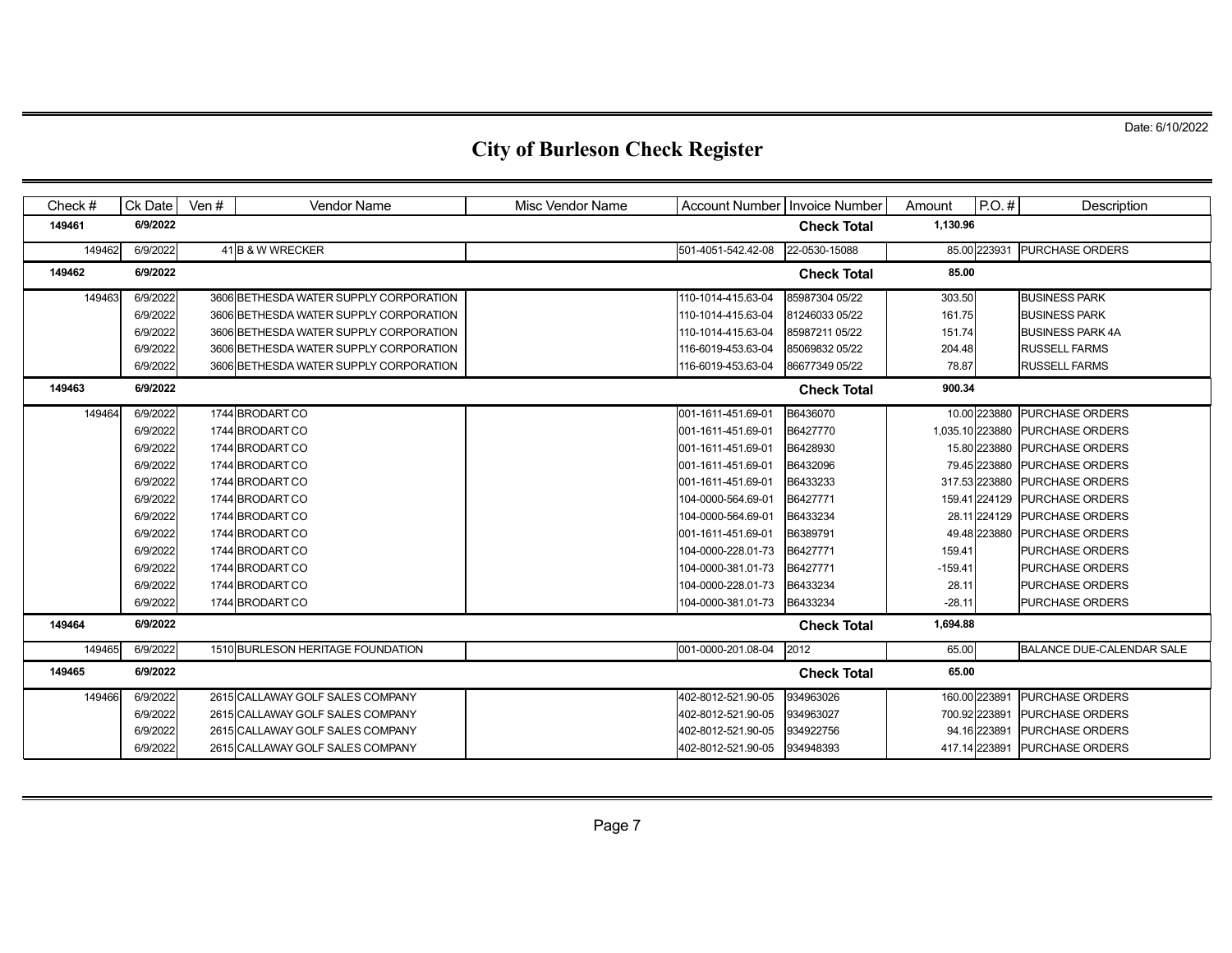| Check $#$ | Ck Date  | Ven # | <b>Vendor Name</b>                     | Misc Vendor Name | Account Number   Invoice Number |                    | Amount          | $P.O.$ #      | Description                   |
|-----------|----------|-------|----------------------------------------|------------------|---------------------------------|--------------------|-----------------|---------------|-------------------------------|
| 149461    | 6/9/2022 |       |                                        |                  |                                 | <b>Check Total</b> | 1,130.96        |               |                               |
| 149462    | 6/9/2022 |       | 41 B & W WRECKER                       |                  | 501-4051-542.42-08              | 22-0530-15088      |                 | 85.00 223931  | <b>PURCHASE ORDERS</b>        |
| 149462    | 6/9/2022 |       |                                        |                  |                                 | <b>Check Total</b> | 85.00           |               |                               |
| 149463    | 6/9/2022 |       | 3606 BETHESDA WATER SUPPLY CORPORATION |                  | 110-1014-415.63-04              | 85987304 05/22     | 303.50          |               | <b>BUSINESS PARK</b>          |
|           | 6/9/2022 |       | 3606 BETHESDA WATER SUPPLY CORPORATION |                  | 110-1014-415.63-04              | 81246033 05/22     | 161.75          |               | <b>BUSINESS PARK</b>          |
|           | 6/9/2022 |       | 3606 BETHESDA WATER SUPPLY CORPORATION |                  | 110-1014-415.63-04              | 85987211 05/22     | 151.74          |               | <b>BUSINESS PARK 4A</b>       |
|           | 6/9/2022 |       | 3606 BETHESDA WATER SUPPLY CORPORATION |                  | 116-6019-453.63-04              | 85069832 05/22     | 204.48          |               | <b>RUSSELL FARMS</b>          |
|           | 6/9/2022 |       | 3606 BETHESDA WATER SUPPLY CORPORATION |                  | 116-6019-453.63-04              | 86677349 05/22     | 78.87           |               | <b>RUSSELL FARMS</b>          |
| 149463    | 6/9/2022 |       |                                        |                  |                                 | <b>Check Total</b> | 900.34          |               |                               |
| 149464    | 6/9/2022 |       | 1744 BRODART CO                        |                  | 001-1611-451.69-01              | B6436070           |                 |               | 10.00 223880 PURCHASE ORDERS  |
|           | 6/9/2022 |       | 1744 BRODART CO                        |                  | 001-1611-451.69-01              | B6427770           | 1,035.10 223880 |               | <b>PURCHASE ORDERS</b>        |
|           | 6/9/2022 |       | 1744 BRODART CO                        |                  | 001-1611-451.69-01              | B6428930           |                 |               | 15.80 223880 PURCHASE ORDERS  |
|           | 6/9/2022 |       | 1744 BRODART CO                        |                  | 001-1611-451.69-01              | B6432096           |                 |               | 79.45 223880 PURCHASE ORDERS  |
|           | 6/9/2022 |       | 1744 BRODART CO                        |                  | 001-1611-451.69-01              | B6433233           |                 | 317.53 223880 | <b>PURCHASE ORDERS</b>        |
|           | 6/9/2022 |       | 1744 BRODART CO                        |                  | 104-0000-564.69-01              | B6427771           |                 | 159.41 224129 | <b>PURCHASE ORDERS</b>        |
|           | 6/9/2022 |       | 1744 BRODART CO                        |                  | 104-0000-564.69-01              | B6433234           |                 |               | 28.11 224129 PURCHASE ORDERS  |
|           | 6/9/2022 |       | 1744 BRODART CO                        |                  | 001-1611-451.69-01              | B6389791           |                 |               | 49.48 223880 PURCHASE ORDERS  |
|           | 6/9/2022 |       | 1744 BRODART CO                        |                  | 104-0000-228.01-73              | B6427771           | 159.41          |               | <b>PURCHASE ORDERS</b>        |
|           | 6/9/2022 |       | 1744 BRODART CO                        |                  | 104-0000-381.01-73              | B6427771           | $-159.41$       |               | <b>PURCHASE ORDERS</b>        |
|           | 6/9/2022 |       | 1744 BRODART CO                        |                  | 104-0000-228.01-73              | B6433234           | 28.11           |               | <b>PURCHASE ORDERS</b>        |
|           | 6/9/2022 |       | 1744 BRODART CO                        |                  | 104-0000-381.01-73              | B6433234           | $-28.11$        |               | <b>PURCHASE ORDERS</b>        |
| 149464    | 6/9/2022 |       |                                        |                  |                                 | <b>Check Total</b> | 1,694.88        |               |                               |
| 149465    | 6/9/2022 |       | 1510 BURLESON HERITAGE FOUNDATION      |                  | 001-0000-201.08-04              | 2012               | 65.00           |               | BALANCE DUE-CALENDAR SALE     |
| 149465    | 6/9/2022 |       |                                        |                  |                                 | <b>Check Total</b> | 65.00           |               |                               |
| 149466    | 6/9/2022 |       | 2615 CALLAWAY GOLF SALES COMPANY       |                  | 402-8012-521.90-05              | 934963026          |                 | 160.00 223891 | <b>PURCHASE ORDERS</b>        |
|           | 6/9/2022 |       | 2615 CALLAWAY GOLF SALES COMPANY       |                  | 402-8012-521.90-05              | 934963027          |                 | 700.92 223891 | <b>PURCHASE ORDERS</b>        |
|           | 6/9/2022 |       | 2615 CALLAWAY GOLF SALES COMPANY       |                  | 402-8012-521.90-05              | 934922756          |                 | 94.16 223891  | <b>PURCHASE ORDERS</b>        |
|           | 6/9/2022 |       | 2615 CALLAWAY GOLF SALES COMPANY       |                  | 402-8012-521.90-05              | 934948393          |                 |               | 417.14 223891 PURCHASE ORDERS |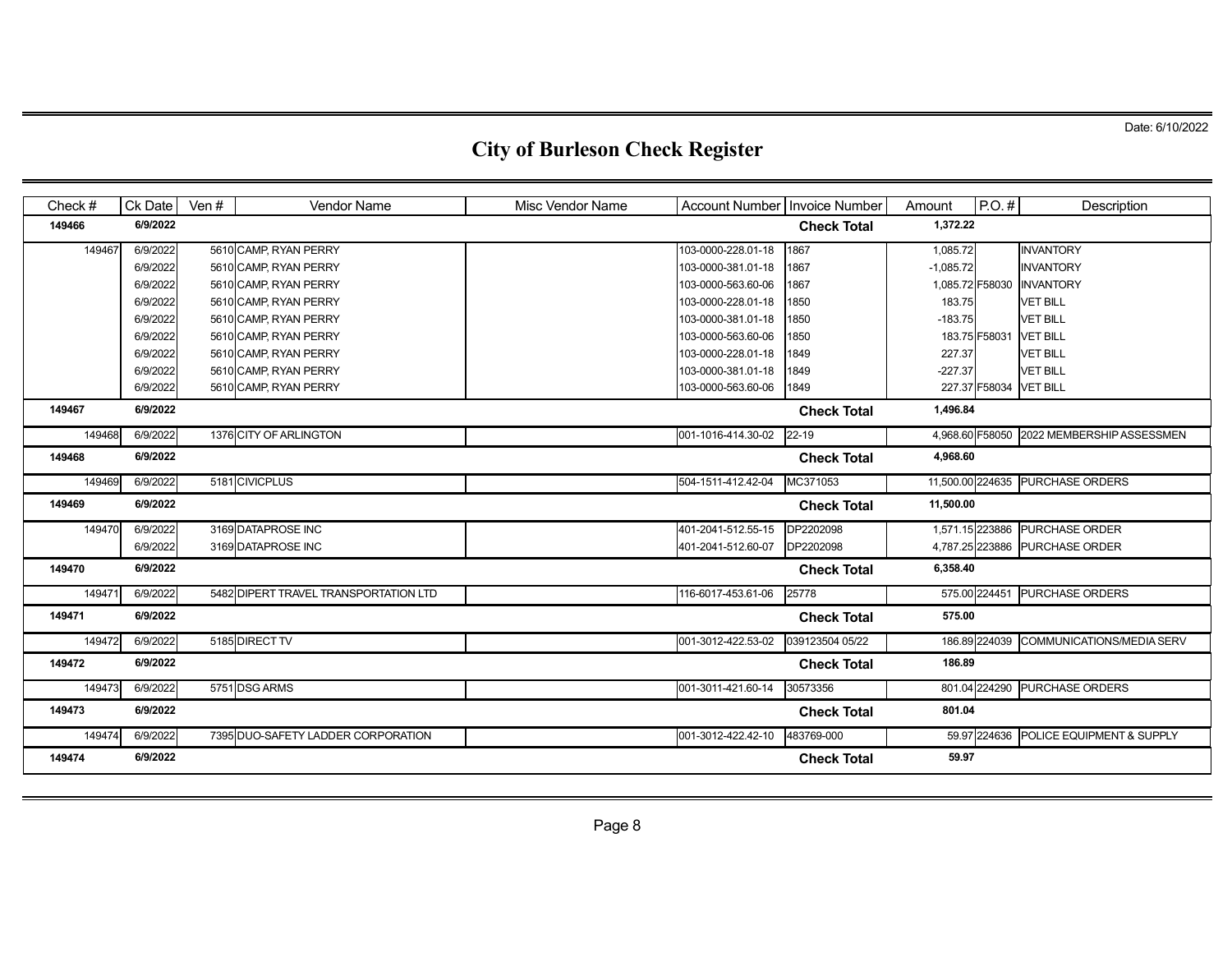| Check $#$ | Ck Date  | Ven # | Vendor Name                           | Misc Vendor Name | Account Number Invoice Number |                    | Amount          | $P.O.$ #      | Description                               |
|-----------|----------|-------|---------------------------------------|------------------|-------------------------------|--------------------|-----------------|---------------|-------------------------------------------|
| 149466    | 6/9/2022 |       |                                       |                  |                               | <b>Check Total</b> | 1,372.22        |               |                                           |
| 149467    | 6/9/2022 |       | 5610 CAMP, RYAN PERRY                 |                  | 103-0000-228.01-18            | 1867               | 1,085.72        |               | <b>INVANTORY</b>                          |
|           | 6/9/2022 |       | 5610 CAMP, RYAN PERRY                 |                  | 103-0000-381.01-18            | 1867               | $-1,085.72$     |               | <b>INVANTORY</b>                          |
|           | 6/9/2022 |       | 5610 CAMP, RYAN PERRY                 |                  | 103-0000-563.60-06            | 1867               | 1,085.72 F58030 |               | <b>INVANTORY</b>                          |
|           | 6/9/2022 |       | 5610 CAMP, RYAN PERRY                 |                  | 103-0000-228.01-18            | 1850               | 183.75          |               | <b>VET BILL</b>                           |
|           | 6/9/2022 |       | 5610 CAMP, RYAN PERRY                 |                  | 103-0000-381.01-18            | 1850               | $-183.75$       |               | <b>VET BILL</b>                           |
|           | 6/9/2022 |       | 5610 CAMP, RYAN PERRY                 |                  | 103-0000-563.60-06            | 1850               | 183.75 F58031   |               | <b>VET BILL</b>                           |
|           | 6/9/2022 |       | 5610 CAMP, RYAN PERRY                 |                  | 103-0000-228.01-18            | 1849               | 227.37          |               | <b>VET BILL</b>                           |
|           | 6/9/2022 |       | 5610 CAMP, RYAN PERRY                 |                  | 103-0000-381.01-18            | 1849               | $-227.37$       |               | <b>VET BILL</b>                           |
|           | 6/9/2022 |       | 5610 CAMP, RYAN PERRY                 |                  | 103-0000-563.60-06            | 1849               |                 | 227.37 F58034 | <b>VET BILL</b>                           |
| 149467    | 6/9/2022 |       |                                       |                  |                               | <b>Check Total</b> | 1,496.84        |               |                                           |
| 149468    | 6/9/2022 |       | 1376 CITY OF ARLINGTON                |                  | 001-1016-414.30-02            | 22-19              |                 |               | 4,968.60 F58050 2022 MEMBERSHIP ASSESSMEN |
| 149468    | 6/9/2022 |       |                                       |                  |                               | <b>Check Total</b> | 4,968.60        |               |                                           |
| 149469    | 6/9/2022 |       | 5181 CIVICPLUS                        |                  | 504-1511-412.42-04            | MC371053           |                 |               | 11,500.00 224635 PURCHASE ORDERS          |
| 149469    | 6/9/2022 |       |                                       |                  |                               | <b>Check Total</b> | 11,500.00       |               |                                           |
| 149470    | 6/9/2022 |       | 3169 DATAPROSE INC                    |                  | 401-2041-512.55-15            | DP2202098          |                 |               | 1,571.15 223886 PURCHASE ORDER            |
|           | 6/9/2022 |       | 3169 DATAPROSE INC                    |                  | 401-2041-512.60-07            | DP2202098          |                 |               | 4,787.25 223886 PURCHASE ORDER            |
| 149470    | 6/9/2022 |       |                                       |                  |                               | <b>Check Total</b> | 6,358.40        |               |                                           |
| 14947     | 6/9/2022 |       | 5482 DIPERT TRAVEL TRANSPORTATION LTD |                  | 116-6017-453.61-06            | 25778              |                 | 575.00 224451 | <b>PURCHASE ORDERS</b>                    |
| 149471    | 6/9/2022 |       |                                       |                  |                               | <b>Check Total</b> | 575.00          |               |                                           |
| 149472    | 6/9/2022 |       | 5185 DIRECT TV                        |                  | 001-3012-422.53-02            | 039123504 05/22    |                 | 186.89 224039 | <b>COMMUNICATIONS/MEDIA SERV</b>          |
| 149472    | 6/9/2022 |       |                                       |                  |                               | <b>Check Total</b> | 186.89          |               |                                           |
| 149473    | 6/9/2022 |       | 5751 DSG ARMS                         |                  | 001-3011-421.60-14            | 30573356           |                 |               | 801.04 224290 PURCHASE ORDERS             |
| 149473    | 6/9/2022 |       |                                       |                  |                               | <b>Check Total</b> | 801.04          |               |                                           |
| 149474    | 6/9/2022 |       | 7395 DUO-SAFETY LADDER CORPORATION    |                  | 001-3012-422.42-10            | 483769-000         |                 | 59.97 224636  | POLICE EQUIPMENT & SUPPLY                 |
| 149474    | 6/9/2022 |       |                                       |                  |                               | <b>Check Total</b> | 59.97           |               |                                           |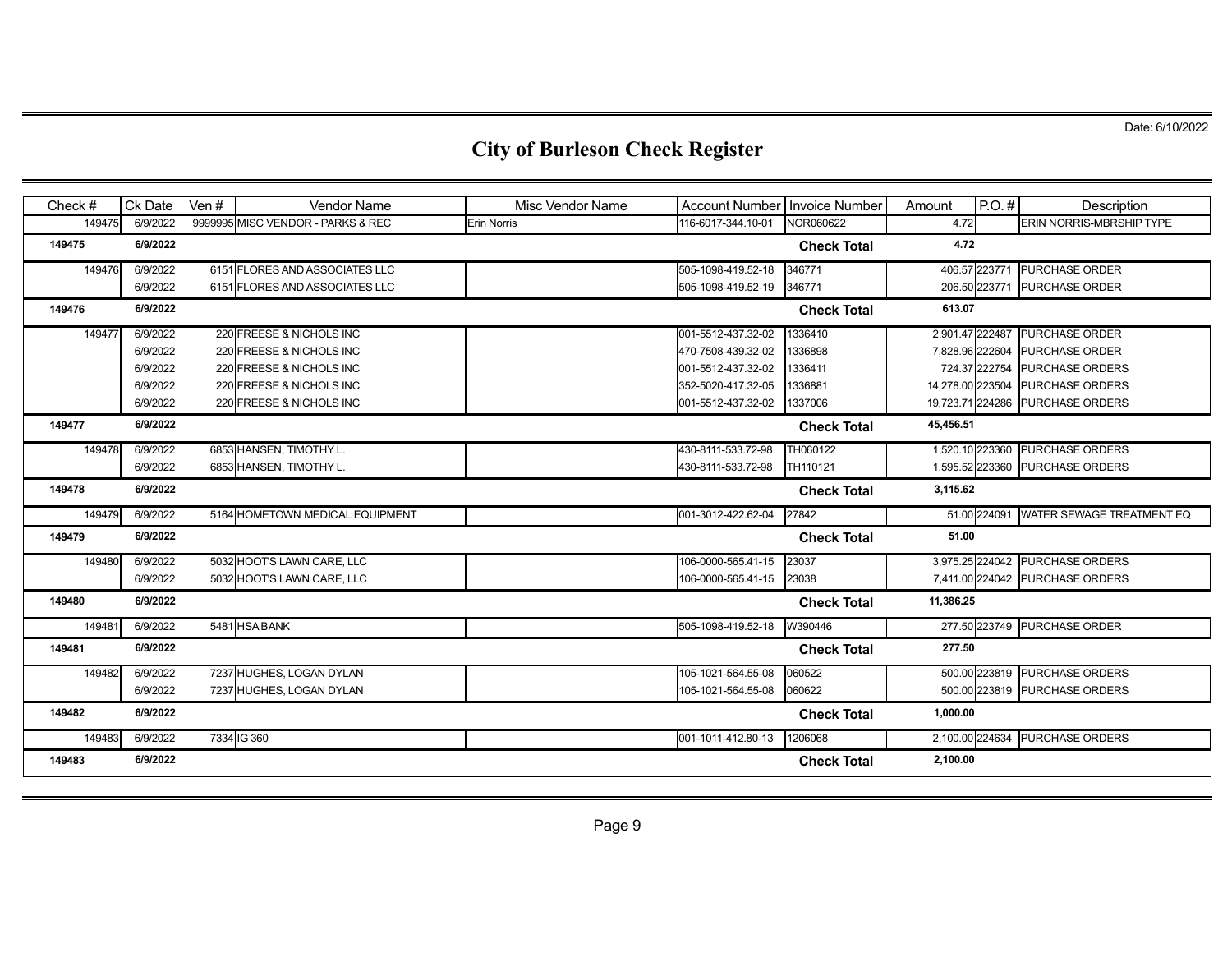| Check# | Ck Date  | Ven # | <b>Vendor Name</b>                | Misc Vendor Name   | Account Number   Invoice Number |                    | Amount           | $P.O.$ #      | Description                            |
|--------|----------|-------|-----------------------------------|--------------------|---------------------------------|--------------------|------------------|---------------|----------------------------------------|
| 149475 | 6/9/2022 |       | 9999995 MISC VENDOR - PARKS & REC | <b>Erin Norris</b> | 116-6017-344.10-01              | NOR060622          | 4.72             |               | <b>ERIN NORRIS-MBRSHIP TYPE</b>        |
| 149475 | 6/9/2022 |       |                                   |                    |                                 | <b>Check Total</b> | 4.72             |               |                                        |
| 149476 | 6/9/2022 |       | 6151 FLORES AND ASSOCIATES LLC    |                    | 505-1098-419.52-18              | 346771             |                  | 406.57 223771 | <b>PURCHASE ORDER</b>                  |
|        | 6/9/2022 |       | 6151 FLORES AND ASSOCIATES LLC    |                    | 505-1098-419.52-19              | 346771             |                  |               | 206.50 223771 PURCHASE ORDER           |
| 149476 | 6/9/2022 |       |                                   |                    |                                 | <b>Check Total</b> | 613.07           |               |                                        |
| 149477 | 6/9/2022 |       | 220 FREESE & NICHOLS INC          |                    | 001-5512-437.32-02              | 1336410            |                  |               | 2,901.47 222487 PURCHASE ORDER         |
|        | 6/9/2022 |       | 220 FREESE & NICHOLS INC          |                    | 470-7508-439.32-02              | 1336898            | 7.828.96 222604  |               | <b>PURCHASE ORDER</b>                  |
|        | 6/9/2022 |       | 220 FREESE & NICHOLS INC          |                    | 001-5512-437.32-02              | 1336411            |                  | 724.37 222754 | <b>PURCHASE ORDERS</b>                 |
|        | 6/9/2022 |       | 220 FREESE & NICHOLS INC          |                    | 352-5020-417.32-05              | 1336881            | 14,278.00 223504 |               | <b>PURCHASE ORDERS</b>                 |
|        | 6/9/2022 |       | 220 FREESE & NICHOLS INC          |                    | 001-5512-437.32-02              | 1337006            |                  |               | 19,723.71 224286 PURCHASE ORDERS       |
| 149477 | 6/9/2022 |       |                                   |                    |                                 | <b>Check Total</b> | 45,456.51        |               |                                        |
| 149478 | 6/9/2022 |       | 6853 HANSEN, TIMOTHY L.           |                    | 430-8111-533.72-98              | TH060122           |                  |               | 1.520.10 223360 PURCHASE ORDERS        |
|        | 6/9/2022 |       | 6853 HANSEN, TIMOTHY L.           |                    | 430-8111-533.72-98              | TH110121           |                  |               | 1,595.52 223360 PURCHASE ORDERS        |
| 149478 | 6/9/2022 |       |                                   |                    |                                 | <b>Check Total</b> | 3,115.62         |               |                                        |
| 149479 | 6/9/2022 |       | 5164 HOMETOWN MEDICAL EQUIPMENT   |                    | 001-3012-422.62-04              | 27842              |                  |               | 51.00 224091 WATER SEWAGE TREATMENT EQ |
| 149479 | 6/9/2022 |       |                                   |                    |                                 | <b>Check Total</b> | 51.00            |               |                                        |
| 149480 | 6/9/2022 |       | 5032 HOOT'S LAWN CARE, LLC        |                    | 106-0000-565.41-15              | 23037              |                  |               | 3,975.25 224042 PURCHASE ORDERS        |
|        | 6/9/2022 |       | 5032 HOOT'S LAWN CARE, LLC        |                    | 106-0000-565.41-15              | 23038              |                  |               | 7,411.00 224042 PURCHASE ORDERS        |
| 149480 | 6/9/2022 |       |                                   |                    |                                 | <b>Check Total</b> | 11,386.25        |               |                                        |
| 149481 | 6/9/2022 |       | 5481 HSA BANK                     |                    | 505-1098-419.52-18              | W390446            |                  |               | 277.50 223749 PURCHASE ORDER           |
| 149481 | 6/9/2022 |       |                                   |                    |                                 | <b>Check Total</b> | 277.50           |               |                                        |
| 149482 | 6/9/2022 |       | 7237 HUGHES, LOGAN DYLAN          |                    | 105-1021-564.55-08              | 060522             |                  |               | 500.00 223819 PURCHASE ORDERS          |
|        | 6/9/2022 |       | 7237 HUGHES, LOGAN DYLAN          |                    | 105-1021-564.55-08              | 060622             |                  |               | 500.00 223819 PURCHASE ORDERS          |
| 149482 | 6/9/2022 |       |                                   |                    |                                 | <b>Check Total</b> | 1,000.00         |               |                                        |
| 149483 | 6/9/2022 |       | 7334 IG 360                       |                    | 001-1011-412.80-13              | 1206068            |                  |               | 2,100.00 224634 PURCHASE ORDERS        |
| 149483 | 6/9/2022 |       |                                   |                    |                                 | <b>Check Total</b> | 2,100.00         |               |                                        |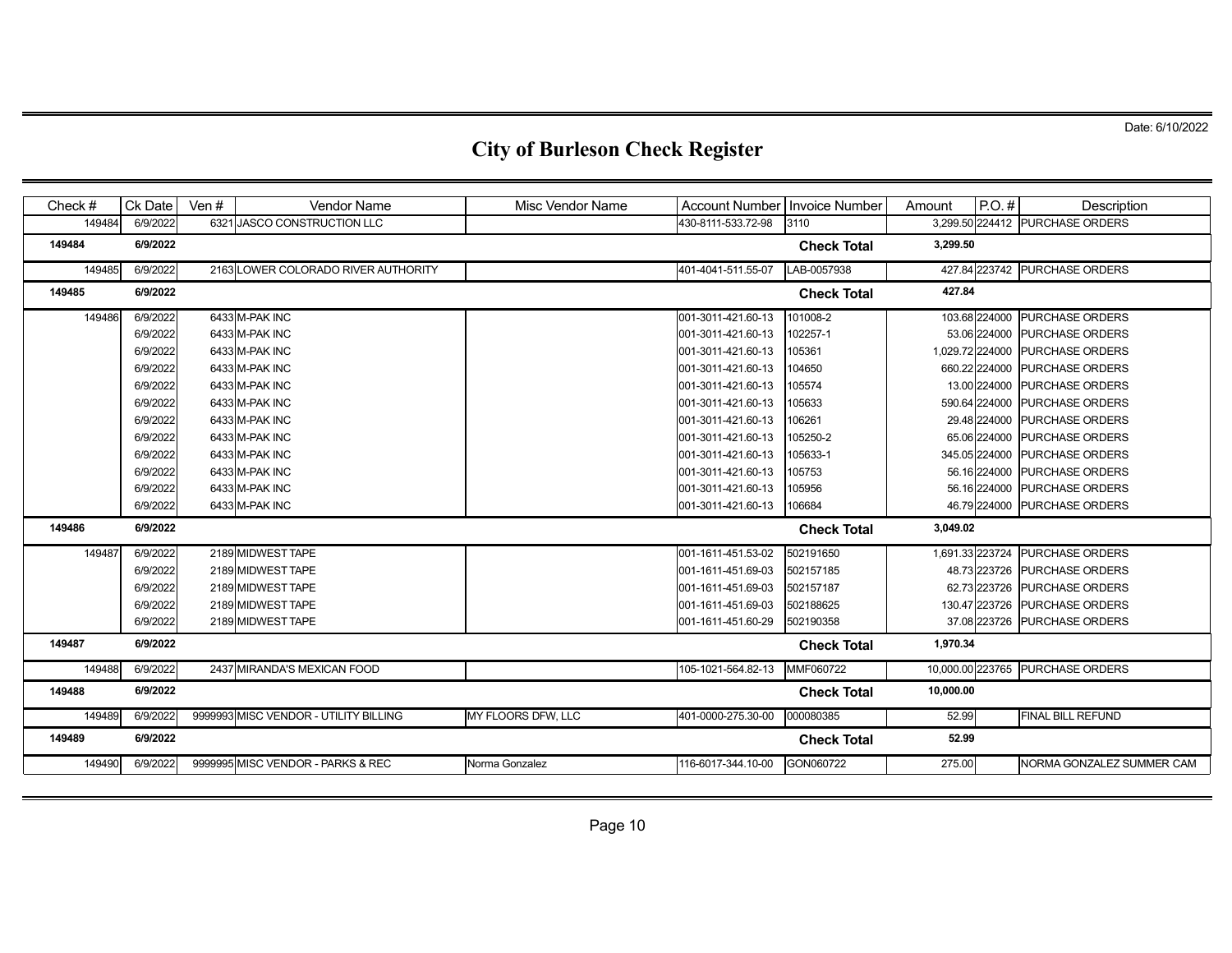| Check $#$ | Ck Date  | Ven $#$ | <b>Vendor Name</b>                    | Misc Vendor Name   | Account Number   Invoice Number |                    | Amount          | $P.O.$ #      | Description                      |
|-----------|----------|---------|---------------------------------------|--------------------|---------------------------------|--------------------|-----------------|---------------|----------------------------------|
| 149484    | 6/9/2022 |         | 6321 JASCO CONSTRUCTION LLC           |                    | 430-8111-533.72-98              | 3110               |                 |               | 3,299.50 224412 PURCHASE ORDERS  |
| 149484    | 6/9/2022 |         |                                       |                    |                                 | <b>Check Total</b> | 3,299.50        |               |                                  |
| 149485    | 6/9/2022 |         | 2163 LOWER COLORADO RIVER AUTHORITY   |                    | 401-4041-511.55-07              | LAB-0057938        |                 |               | 427.84 223742 PURCHASE ORDERS    |
| 149485    | 6/9/2022 |         |                                       |                    |                                 | <b>Check Total</b> | 427.84          |               |                                  |
| 149486    | 6/9/2022 |         | 6433 M-PAK INC                        |                    | 001-3011-421.60-13              | 101008-2           |                 |               | 103.68 224000 PURCHASE ORDERS    |
|           | 6/9/2022 |         | 6433 M-PAK INC                        |                    | 001-3011-421.60-13              | 102257-1           |                 |               | 53.06 224000 PURCHASE ORDERS     |
|           | 6/9/2022 |         | 6433 M-PAK INC                        |                    | 001-3011-421.60-13              | 105361             | 1,029.72 224000 |               | <b>PURCHASE ORDERS</b>           |
|           | 6/9/2022 |         | 6433 M-PAK INC                        |                    | 001-3011-421.60-13              | 104650             |                 | 660.22 224000 | <b>PURCHASE ORDERS</b>           |
|           | 6/9/2022 |         | 6433 M-PAK INC                        |                    | 001-3011-421.60-13              | 105574             |                 | 13.00 224000  | <b>PURCHASE ORDERS</b>           |
|           | 6/9/2022 |         | 6433 M-PAK INC                        |                    | 001-3011-421.60-13              | 105633             |                 | 590.64 224000 | <b>PURCHASE ORDERS</b>           |
|           | 6/9/2022 |         | 6433 M-PAK INC                        |                    | 001-3011-421.60-13              | 106261             |                 | 29.48 224000  | <b>PURCHASE ORDERS</b>           |
|           | 6/9/2022 |         | 6433 M-PAK INC                        |                    | 001-3011-421.60-13              | 105250-2           |                 | 65.06 224000  | <b>PURCHASE ORDERS</b>           |
|           | 6/9/2022 |         | 6433 M-PAK INC                        |                    | 001-3011-421.60-13              | 105633-1           |                 | 345.05 224000 | <b>PURCHASE ORDERS</b>           |
|           | 6/9/2022 |         | 6433 M-PAK INC                        |                    | 001-3011-421.60-13              | 105753             |                 | 56.16 224000  | <b>PURCHASE ORDERS</b>           |
|           | 6/9/2022 |         | 6433 M-PAK INC                        |                    | 001-3011-421.60-13              | 105956             |                 | 56.16 224000  | <b>PURCHASE ORDERS</b>           |
|           | 6/9/2022 |         | 6433 M-PAK INC                        |                    | 001-3011-421.60-13              | 106684             |                 |               | 46.79 224000 PURCHASE ORDERS     |
| 149486    | 6/9/2022 |         |                                       |                    |                                 | <b>Check Total</b> | 3,049.02        |               |                                  |
| 149487    | 6/9/2022 |         | 2189 MIDWEST TAPE                     |                    | 001-1611-451.53-02              | 502191650          |                 |               | 1,691.33 223724 PURCHASE ORDERS  |
|           | 6/9/2022 |         | 2189 MIDWEST TAPE                     |                    | 001-1611-451.69-03              | 502157185          |                 |               | 48.73 223726 PURCHASE ORDERS     |
|           | 6/9/2022 |         | 2189 MIDWEST TAPE                     |                    | 001-1611-451.69-03              | 502157187          |                 | 62.73 223726  | <b>PURCHASE ORDERS</b>           |
|           | 6/9/2022 |         | 2189 MIDWEST TAPE                     |                    | 001-1611-451.69-03              | 502188625          |                 | 130.47 223726 | <b>PURCHASE ORDERS</b>           |
|           | 6/9/2022 |         | 2189 MIDWEST TAPE                     |                    | 001-1611-451.60-29              | 502190358          |                 |               | 37.08 223726 PURCHASE ORDERS     |
| 149487    | 6/9/2022 |         |                                       |                    |                                 | <b>Check Total</b> | 1,970.34        |               |                                  |
| 149488    | 6/9/2022 |         | 2437 MIRANDA'S MEXICAN FOOD           |                    | 105-1021-564.82-13              | MMF060722          |                 |               | 10,000.00 223765 PURCHASE ORDERS |
| 149488    | 6/9/2022 |         |                                       |                    |                                 | <b>Check Total</b> | 10,000.00       |               |                                  |
| 149489    | 6/9/2022 |         | 9999993 MISC VENDOR - UTILITY BILLING | MY FLOORS DFW. LLC | 401-0000-275.30-00              | 000080385          | 52.99           |               | <b>FINAL BILL REFUND</b>         |
| 149489    | 6/9/2022 |         |                                       |                    |                                 | <b>Check Total</b> | 52.99           |               |                                  |
| 149490    | 6/9/2022 |         | 9999995 MISC VENDOR - PARKS & REC     | Norma Gonzalez     | 116-6017-344.10-00              | GON060722          | 275.00          |               | NORMA GONZALEZ SUMMER CAM        |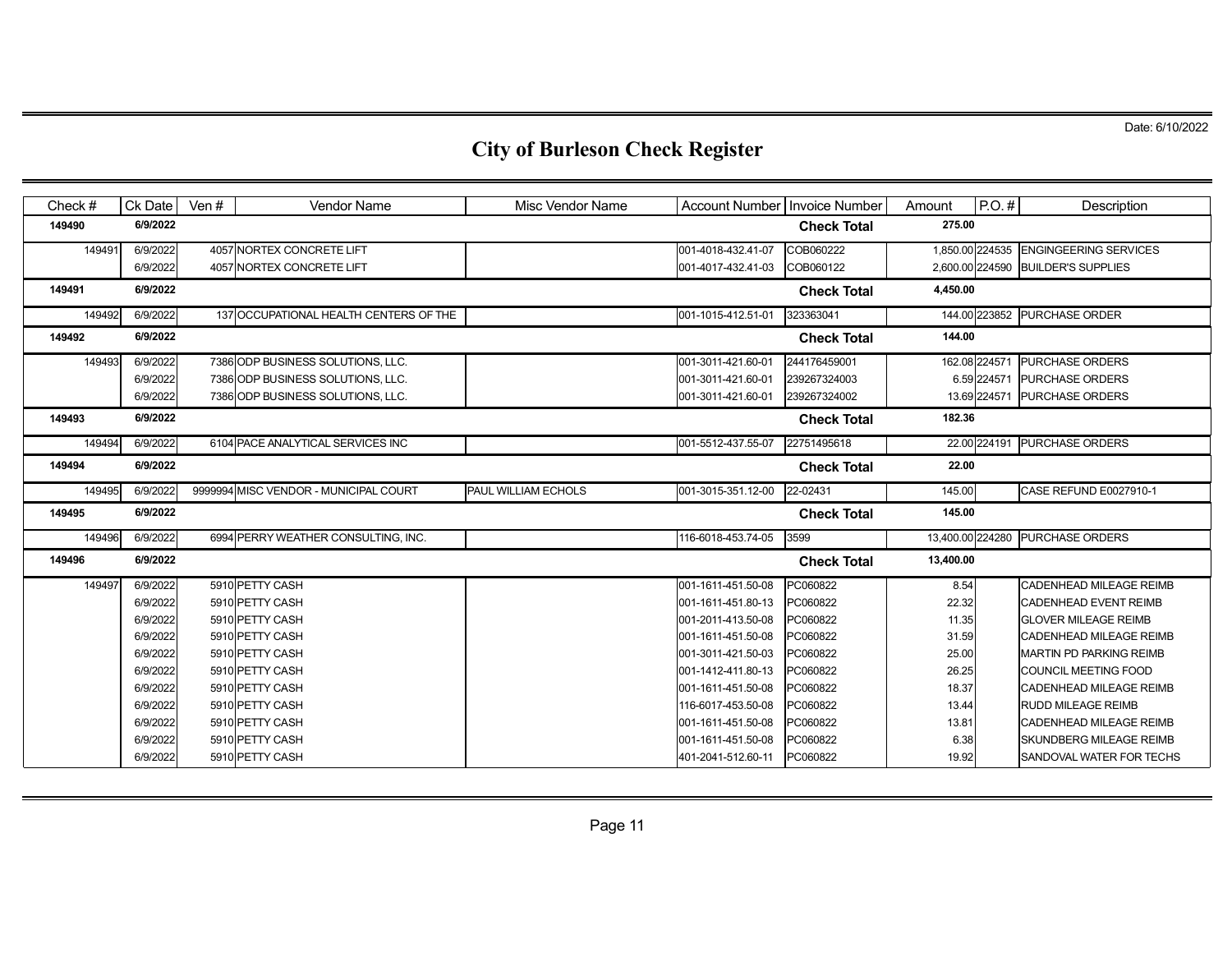| Check $#$ | Ck Date  | Ven $#$ | <b>Vendor Name</b>                     | Misc Vendor Name    | Account Number   Invoice Number |                    | Amount    | $P.O.$ #     | Description                           |
|-----------|----------|---------|----------------------------------------|---------------------|---------------------------------|--------------------|-----------|--------------|---------------------------------------|
| 149490    | 6/9/2022 |         |                                        |                     |                                 | <b>Check Total</b> | 275.00    |              |                                       |
| 149491    | 6/9/2022 |         | 4057 NORTEX CONCRETE LIFT              |                     | 001-4018-432.41-07              | COB060222          |           |              | 1,850.00 224535 ENGINGEERING SERVICES |
|           | 6/9/2022 |         | 4057 NORTEX CONCRETE LIFT              |                     | 001-4017-432.41-03              | COB060122          |           |              | 2,600.00 224590 BUILDER'S SUPPLIES    |
| 149491    | 6/9/2022 |         |                                        |                     |                                 | <b>Check Total</b> | 4,450.00  |              |                                       |
| 149492    | 6/9/2022 |         | 137 OCCUPATIONAL HEALTH CENTERS OF THE |                     | 001-1015-412.51-01              | 323363041          |           |              | 144.00 223852 PURCHASE ORDER          |
| 149492    | 6/9/2022 |         |                                        |                     |                                 | <b>Check Total</b> | 144.00    |              |                                       |
| 149493    | 6/9/2022 |         | 7386 ODP BUSINESS SOLUTIONS, LLC.      |                     | 001-3011-421.60-01              | 244176459001       |           |              | 162.08 224571 PURCHASE ORDERS         |
|           | 6/9/2022 |         | 7386 ODP BUSINESS SOLUTIONS, LLC.      |                     | 001-3011-421.60-01              | 239267324003       |           | 6.59 224571  | <b>PURCHASE ORDERS</b>                |
|           | 6/9/2022 |         | 7386 ODP BUSINESS SOLUTIONS, LLC.      |                     | 001-3011-421.60-01              | 239267324002       |           | 13.69 224571 | <b>PURCHASE ORDERS</b>                |
| 149493    | 6/9/2022 |         |                                        |                     |                                 | <b>Check Total</b> | 182.36    |              |                                       |
| 149494    | 6/9/2022 |         | 6104 PACE ANALYTICAL SERVICES INC      |                     | 001-5512-437.55-07              | 22751495618        |           |              | 22.00 224191 PURCHASE ORDERS          |
| 149494    | 6/9/2022 |         |                                        |                     |                                 | <b>Check Total</b> | 22.00     |              |                                       |
| 149495    | 6/9/2022 |         | 9999994 MISC VENDOR - MUNICIPAL COURT  | PAUL WILLIAM ECHOLS | 001-3015-351.12-00              | 22-02431           | 145.00    |              | CASE REFUND E0027910-1                |
| 149495    | 6/9/2022 |         |                                        |                     |                                 | <b>Check Total</b> | 145.00    |              |                                       |
| 149496    | 6/9/2022 |         | 6994 PERRY WEATHER CONSULTING, INC.    |                     | 116-6018-453.74-05              | 3599               |           |              | 13,400.00 224280 PURCHASE ORDERS      |
| 149496    | 6/9/2022 |         |                                        |                     |                                 | <b>Check Total</b> | 13,400.00 |              |                                       |
| 149497    | 6/9/2022 |         | 5910 PETTY CASH                        |                     | 001-1611-451.50-08              | PC060822           | 8.54      |              | CADENHEAD MILEAGE REIMB               |
|           | 6/9/2022 |         | 5910 PETTY CASH                        |                     | 001-1611-451.80-13              | PC060822           | 22.32     |              | <b>CADENHEAD EVENT REIMB</b>          |
|           | 6/9/2022 |         | 5910 PETTY CASH                        |                     | 001-2011-413.50-08              | PC060822           | 11.35     |              | <b>GLOVER MILEAGE REIMB</b>           |
|           | 6/9/2022 |         | 5910 PETTY CASH                        |                     | 001-1611-451.50-08              | PC060822           | 31.59     |              | <b>CADENHEAD MILEAGE REIMB</b>        |
|           | 6/9/2022 |         | 5910 PETTY CASH                        |                     | 001-3011-421.50-03              | PC060822           | 25.00     |              | <b>MARTIN PD PARKING REIMB</b>        |
|           | 6/9/2022 |         | 5910 PETTY CASH                        |                     | 001-1412-411.80-13              | PC060822           | 26.25     |              | COUNCIL MEETING FOOD                  |
|           | 6/9/2022 |         | 5910 PETTY CASH                        |                     | 001-1611-451.50-08              | PC060822           | 18.37     |              | <b>CADENHEAD MILEAGE REIMB</b>        |
|           | 6/9/2022 |         | 5910 PETTY CASH                        |                     | 116-6017-453.50-08              | PC060822           | 13.44     |              | <b>RUDD MILEAGE REIMB</b>             |
|           | 6/9/2022 |         | 5910 PETTY CASH                        |                     | 001-1611-451.50-08              | PC060822           | 13.81     |              | <b>CADENHEAD MILEAGE REIMB</b>        |
|           | 6/9/2022 |         | 5910 PETTY CASH                        |                     | 001-1611-451.50-08              | PC060822           | 6.38      |              | <b>SKUNDBERG MILEAGE REIMB</b>        |
|           | 6/9/2022 |         | 5910 PETTY CASH                        |                     | 401-2041-512.60-11              | PC060822           | 19.92     |              | SANDOVAL WATER FOR TECHS              |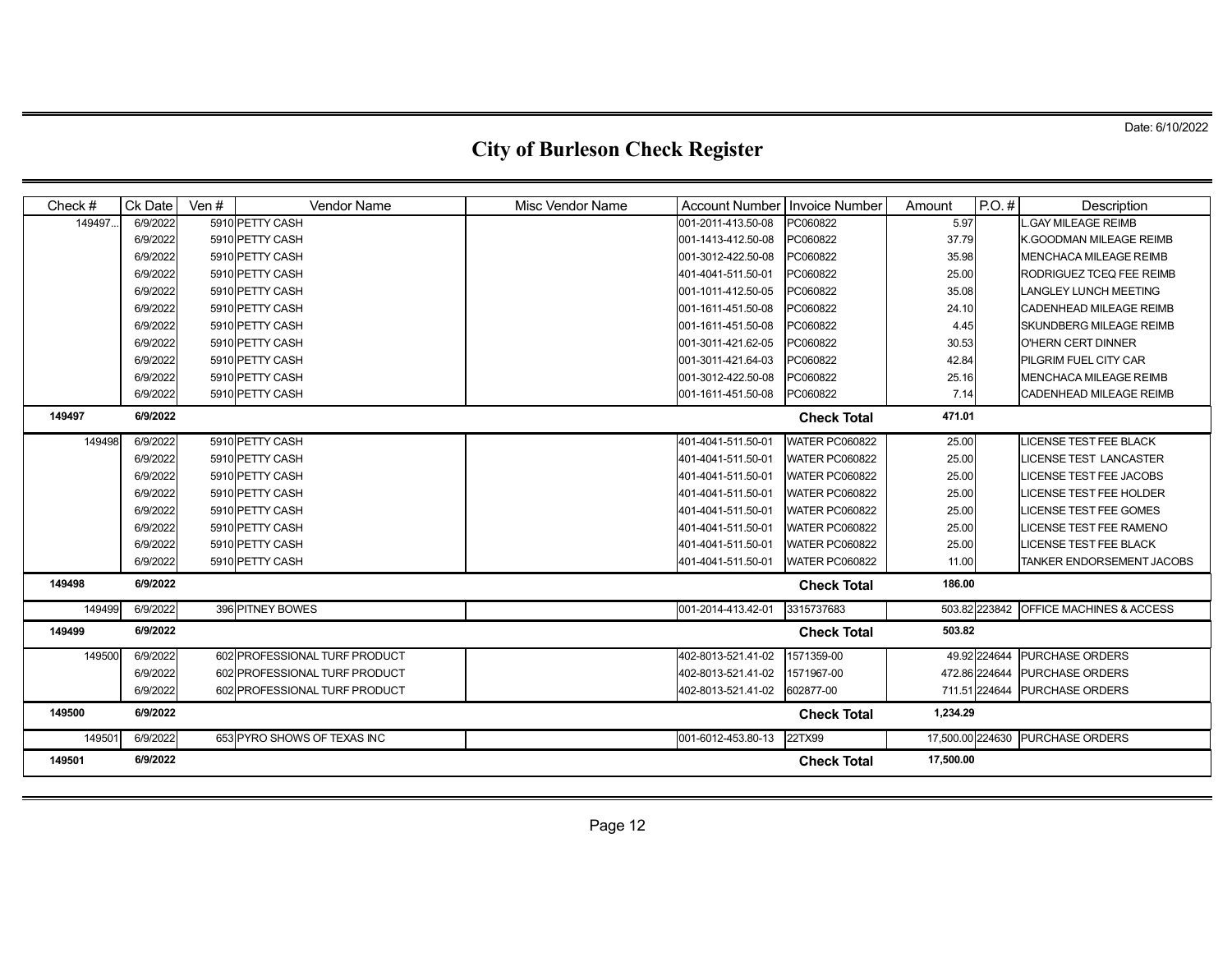| Check $#$          | Ck Date  | Ven $#$ | <b>Vendor Name</b>            | Misc Vendor Name | Account Number   Invoice Number |                       | Amount           | $P.O.$ #      | Description                            |
|--------------------|----------|---------|-------------------------------|------------------|---------------------------------|-----------------------|------------------|---------------|----------------------------------------|
| 149497             | 6/9/2022 |         | 5910 PETTY CASH               |                  | 001-2011-413.50-08              | PC060822              | 5.97             |               | GAY MILEAGE REIMB                      |
|                    | 6/9/2022 |         | 5910 PETTY CASH               |                  | 001-1413-412.50-08              | PC060822              | 37.79            |               | K.GOODMAN MILEAGE REIMB                |
|                    | 6/9/2022 |         | 5910 PETTY CASH               |                  | 001-3012-422.50-08              | PC060822              | 35.98            |               | <b>MENCHACA MILEAGE REIMB</b>          |
|                    | 6/9/2022 |         | 5910 PETTY CASH               |                  | 401-4041-511.50-01              | PC060822              | 25.00            |               | RODRIGUEZ TCEQ FEE REIMB               |
|                    | 6/9/2022 |         | 5910 PETTY CASH               |                  | 001-1011-412.50-05              | PC060822              | 35.08            |               | <b>LANGLEY LUNCH MEETING</b>           |
|                    | 6/9/2022 |         | 5910 PETTY CASH               |                  | 001-1611-451.50-08              | PC060822              | 24.10            |               | CADENHEAD MILEAGE REIMB                |
|                    | 6/9/2022 |         | 5910 PETTY CASH               |                  | 001-1611-451.50-08              | PC060822              | 4.45             |               | SKUNDBERG MILEAGE REIMB                |
|                    | 6/9/2022 |         | 5910 PETTY CASH               |                  | 001-3011-421.62-05              | PC060822              | 30.53            |               | O'HERN CERT DINNER                     |
|                    | 6/9/2022 |         | 5910 PETTY CASH               |                  | 001-3011-421.64-03              | PC060822              | 42.84            |               | PILGRIM FUEL CITY CAR                  |
|                    | 6/9/2022 |         | 5910 PETTY CASH               |                  | 001-3012-422.50-08              | PC060822              | 25.16            |               | <b>MENCHACA MILEAGE REIMB</b>          |
|                    | 6/9/2022 |         | 5910 PETTY CASH               |                  | 001-1611-451.50-08              | PC060822              | 7.14             |               | CADENHEAD MILEAGE REIMB                |
| 149497             | 6/9/2022 |         |                               |                  |                                 | <b>Check Total</b>    | 471.01           |               |                                        |
| 149498             | 6/9/2022 |         | 5910 PETTY CASH               |                  | 401-4041-511.50-01              | <b>WATER PC060822</b> | 25.00            |               | <b>LICENSE TEST FEE BLACK</b>          |
|                    | 6/9/2022 |         | 5910 PETTY CASH               |                  | 401-4041-511.50-01              | <b>WATER PC060822</b> | 25.00            |               | <b>LICENSE TEST LANCASTER</b>          |
|                    | 6/9/2022 |         | 5910 PETTY CASH               |                  | 401-4041-511.50-01              | <b>WATER PC060822</b> | 25.00            |               | <b>LICENSE TEST FEE JACOBS</b>         |
|                    | 6/9/2022 |         | 5910 PETTY CASH               |                  | 401-4041-511.50-01              | <b>WATER PC060822</b> | 25.00            |               | <b>LICENSE TEST FEE HOLDER</b>         |
|                    | 6/9/2022 |         | 5910 PETTY CASH               |                  | 401-4041-511.50-01              | <b>WATER PC060822</b> | 25.00            |               | <b>LICENSE TEST FEE GOMES</b>          |
|                    | 6/9/2022 |         | 5910 PETTY CASH               |                  | 401-4041-511.50-01              | <b>WATER PC060822</b> | 25.00            |               | LICENSE TEST FEE RAMENO                |
|                    | 6/9/2022 |         | 5910 PETTY CASH               |                  | 401-4041-511.50-01              | <b>WATER PC060822</b> | 25.00            |               | <b>LICENSE TEST FEE BLACK</b>          |
|                    | 6/9/2022 |         | 5910 PETTY CASH               |                  | 401-4041-511.50-01              | <b>WATER PC060822</b> | 11.00            |               | TANKER ENDORSEMENT JACOBS              |
| 149498             | 6/9/2022 |         |                               |                  |                                 | <b>Check Total</b>    | 186.00           |               |                                        |
| 149499             | 6/9/2022 |         | 396 PITNEY BOWES              |                  | 001-2014-413.42-01              | 3315737683            |                  |               | 503.82 223842 OFFICE MACHINES & ACCESS |
| 149499             | 6/9/2022 |         |                               |                  |                                 | <b>Check Total</b>    | 503.82           |               |                                        |
| 149500             | 6/9/2022 |         | 602 PROFESSIONAL TURF PRODUCT |                  | 402-8013-521.41-02              | 1571359-00            |                  | 49.92 224644  | <b>PURCHASE ORDERS</b>                 |
|                    | 6/9/2022 |         | 602 PROFESSIONAL TURF PRODUCT |                  | 402-8013-521.41-02              | 1571967-00            |                  | 472.86 224644 | <b>PURCHASE ORDERS</b>                 |
|                    | 6/9/2022 |         | 602 PROFESSIONAL TURF PRODUCT |                  | 402-8013-521.41-02              | 602877-00             |                  | 711.51 224644 | <b>PURCHASE ORDERS</b>                 |
| 149500             | 6/9/2022 |         |                               |                  |                                 | <b>Check Total</b>    | 1,234.29         |               |                                        |
| 14950 <sup>-</sup> | 6/9/2022 |         | 653 PYRO SHOWS OF TEXAS INC   |                  | 001-6012-453.80-13              | 22TX99                | 17,500.00 224630 |               | <b>PURCHASE ORDERS</b>                 |
| 149501             | 6/9/2022 |         |                               |                  |                                 | <b>Check Total</b>    | 17,500.00        |               |                                        |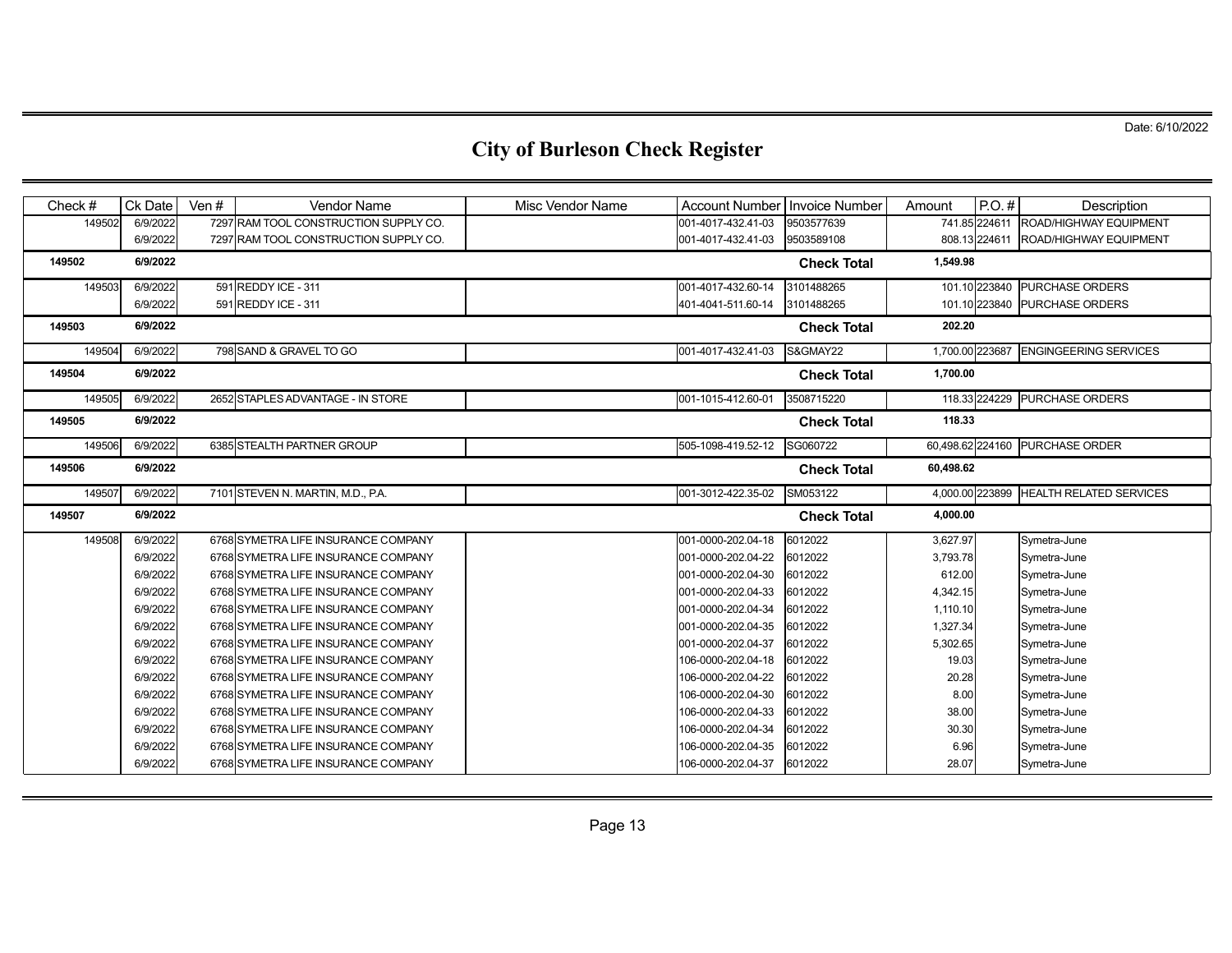| Check $#$ | <b>Ck Date</b> | Ven $#$ | <b>Vendor Name</b>                    | Misc Vendor Name | Account Number   Invoice Number |                    | Amount          | $P.O.$ #      | Description                     |
|-----------|----------------|---------|---------------------------------------|------------------|---------------------------------|--------------------|-----------------|---------------|---------------------------------|
| 149502    | 6/9/2022       |         | 7297 RAM TOOL CONSTRUCTION SUPPLY CO. |                  | 001-4017-432.41-03              | 9503577639         |                 | 741.85 224611 | ROAD/HIGHWAY EQUIPMENT          |
|           | 6/9/2022       |         | 7297 RAM TOOL CONSTRUCTION SUPPLY CO. |                  | 001-4017-432.41-03              | 9503589108         |                 | 808.13 224611 | ROAD/HIGHWAY EQUIPMENT          |
| 149502    | 6/9/2022       |         |                                       |                  |                                 | <b>Check Total</b> | 1,549.98        |               |                                 |
| 149503    | 6/9/2022       |         | 591 REDDY ICE - 311                   |                  | 001-4017-432.60-14              | 3101488265         |                 |               | 101.10 223840 PURCHASE ORDERS   |
|           | 6/9/2022       |         | 591 REDDY ICE - 311                   |                  | 401-4041-511.60-14              | 3101488265         |                 | 101.10 223840 | <b>PURCHASE ORDERS</b>          |
| 149503    | 6/9/2022       |         |                                       |                  |                                 | <b>Check Total</b> | 202.20          |               |                                 |
| 149504    | 6/9/2022       |         | 798 SAND & GRAVEL TO GO               |                  | 001-4017-432.41-03              | S&GMAY22           | 1,700.00 223687 |               | <b>ENGINGEERING SERVICES</b>    |
| 149504    | 6/9/2022       |         |                                       |                  |                                 | <b>Check Total</b> | 1,700.00        |               |                                 |
| 149505    | 6/9/2022       |         | 2652 STAPLES ADVANTAGE - IN STORE     |                  | 001-1015-412.60-01              | 3508715220         |                 |               | 118.33 224229 PURCHASE ORDERS   |
| 149505    | 6/9/2022       |         |                                       |                  |                                 | <b>Check Total</b> | 118.33          |               |                                 |
| 149506    | 6/9/2022       |         | 6385 STEALTH PARTNER GROUP            |                  | 505-1098-419.52-12              | SG060722           |                 |               | 60,498.62 224160 PURCHASE ORDER |
| 149506    | 6/9/2022       |         |                                       |                  |                                 | <b>Check Total</b> | 60,498.62       |               |                                 |
| 149507    | 6/9/2022       |         | 7101 STEVEN N. MARTIN, M.D., P.A.     |                  | 001-3012-422.35-02              | SM053122           | 4,000.00 223899 |               | <b>HEALTH RELATED SERVICES</b>  |
| 149507    | 6/9/2022       |         |                                       |                  |                                 | <b>Check Total</b> | 4,000.00        |               |                                 |
| 149508    | 6/9/2022       |         | 6768 SYMETRA LIFE INSURANCE COMPANY   |                  | 001-0000-202.04-18              | 6012022            | 3,627.97        |               | Symetra-June                    |
|           | 6/9/2022       |         | 6768 SYMETRA LIFE INSURANCE COMPANY   |                  | 001-0000-202.04-22              | 6012022            | 3,793.78        |               | Symetra-June                    |
|           | 6/9/2022       |         | 6768 SYMETRA LIFE INSURANCE COMPANY   |                  | 001-0000-202.04-30              | 6012022            | 612.00          |               | Symetra-June                    |
|           | 6/9/2022       |         | 6768 SYMETRA LIFE INSURANCE COMPANY   |                  | 001-0000-202.04-33              | 6012022            | 4,342.15        |               | Symetra-June                    |
|           | 6/9/2022       |         | 6768 SYMETRA LIFE INSURANCE COMPANY   |                  | 001-0000-202.04-34              | 6012022            | 1,110.10        |               | Symetra-June                    |
|           | 6/9/2022       |         | 6768 SYMETRA LIFE INSURANCE COMPANY   |                  | 001-0000-202.04-35              | 6012022            | 1,327.34        |               | Symetra-June                    |
|           | 6/9/2022       |         | 6768 SYMETRA LIFE INSURANCE COMPANY   |                  | 001-0000-202.04-37              | 6012022            | 5,302.65        |               | Symetra-June                    |
|           | 6/9/2022       |         | 6768 SYMETRA LIFE INSURANCE COMPANY   |                  | 106-0000-202.04-18              | 6012022            | 19.03           |               | Symetra-June                    |
|           | 6/9/2022       |         | 6768 SYMETRA LIFE INSURANCE COMPANY   |                  | 106-0000-202.04-22              | 6012022            | 20.28           |               | Symetra-June                    |
|           | 6/9/2022       |         | 6768 SYMETRA LIFE INSURANCE COMPANY   |                  | 106-0000-202.04-30              | 6012022            | 8.00            |               | Symetra-June                    |
|           | 6/9/2022       |         | 6768 SYMETRA LIFE INSURANCE COMPANY   |                  | 106-0000-202.04-33              | 6012022            | 38.00           |               | Symetra-June                    |
|           | 6/9/2022       |         | 6768 SYMETRA LIFE INSURANCE COMPANY   |                  | 106-0000-202.04-34              | 6012022            | 30.30           |               | Symetra-June                    |
|           | 6/9/2022       |         | 6768 SYMETRA LIFE INSURANCE COMPANY   |                  | 106-0000-202.04-35              | 6012022            | 6.96            |               | Symetra-June                    |
|           |                |         |                                       |                  |                                 |                    | 28.07           |               | Symetra-June                    |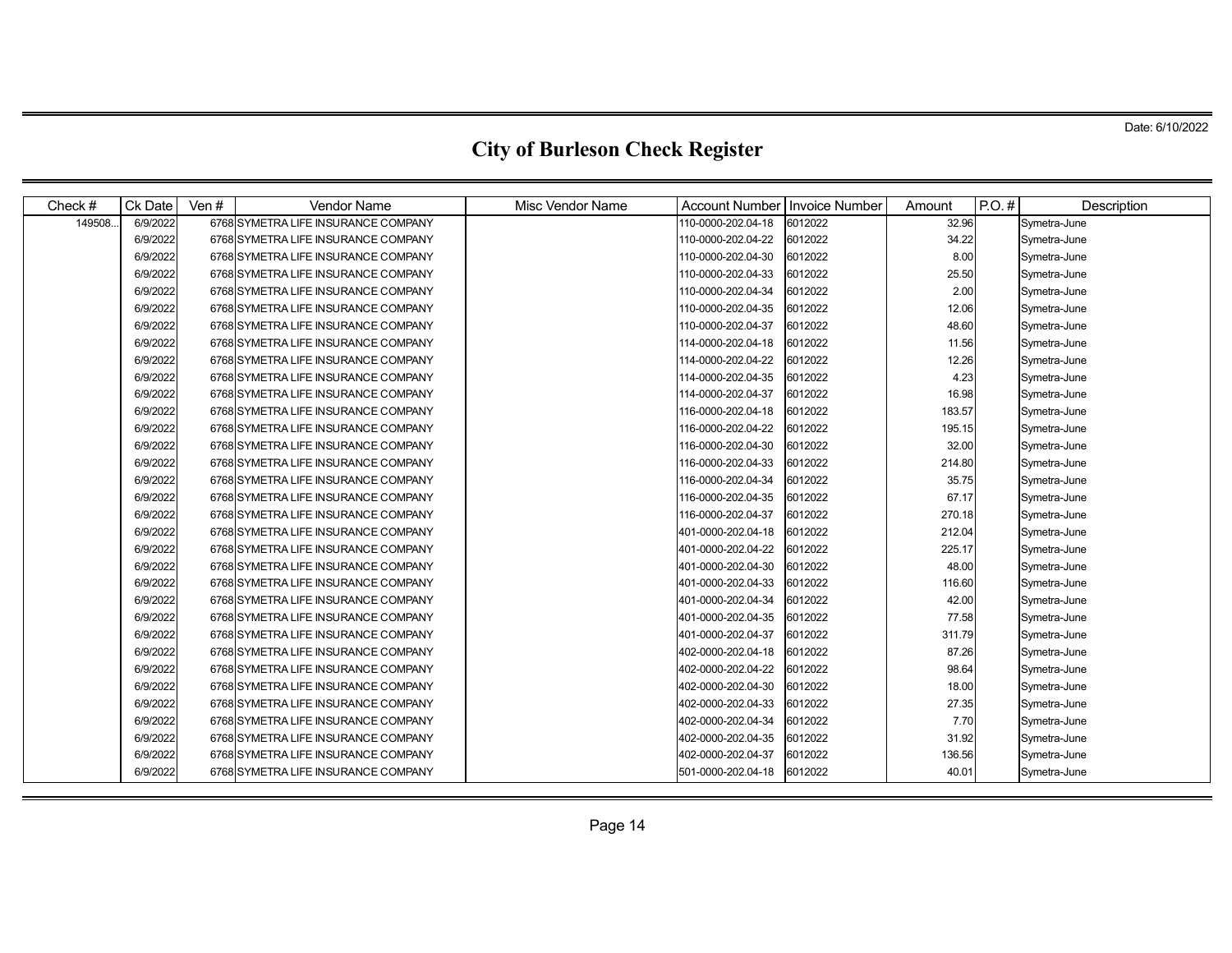| Check $#$ | Ck Date  | Ven $#$ | <b>Vendor Name</b>                  | <b>Misc Vendor Name</b> | <b>Account Number</b> | <b>Invoice Number</b> | Amount | $P.O.$ # | Description  |
|-----------|----------|---------|-------------------------------------|-------------------------|-----------------------|-----------------------|--------|----------|--------------|
| 149508.   | 6/9/2022 |         | 6768 SYMETRA LIFE INSURANCE COMPANY |                         | 110-0000-202.04-18    | 6012022               | 32.96  |          | Symetra-June |
|           | 6/9/2022 |         | 6768 SYMETRA LIFE INSURANCE COMPANY |                         | 110-0000-202.04-22    | 6012022               | 34.22  |          | Symetra-June |
|           | 6/9/2022 |         | 6768 SYMETRA LIFE INSURANCE COMPANY |                         | 110-0000-202.04-30    | 6012022               | 8.00   |          | Symetra-June |
|           | 6/9/2022 |         | 6768 SYMETRA LIFE INSURANCE COMPANY |                         | 110-0000-202.04-33    | 6012022               | 25.50  |          | Symetra-June |
|           | 6/9/2022 |         | 6768 SYMETRA LIFE INSURANCE COMPANY |                         | 110-0000-202.04-34    | 6012022               | 2.00   |          | Symetra-June |
|           | 6/9/2022 |         | 6768 SYMETRA LIFE INSURANCE COMPANY |                         | 110-0000-202.04-35    | 6012022               | 12.06  |          | Symetra-June |
|           | 6/9/2022 |         | 6768 SYMETRA LIFE INSURANCE COMPANY |                         | 110-0000-202.04-37    | 6012022               | 48.60  |          | Symetra-June |
|           | 6/9/2022 |         | 6768 SYMETRA LIFE INSURANCE COMPANY |                         | 114-0000-202.04-18    | 6012022               | 11.56  |          | Symetra-June |
|           | 6/9/2022 |         | 6768 SYMETRA LIFE INSURANCE COMPANY |                         | 114-0000-202.04-22    | 6012022               | 12.26  |          | Symetra-June |
|           | 6/9/2022 |         | 6768 SYMETRA LIFE INSURANCE COMPANY |                         | 114-0000-202.04-35    | 6012022               | 4.23   |          | Symetra-June |
|           | 6/9/2022 |         | 6768 SYMETRA LIFE INSURANCE COMPANY |                         | 114-0000-202.04-37    | 6012022               | 16.98  |          | Symetra-June |
|           | 6/9/2022 |         | 6768 SYMETRA LIFE INSURANCE COMPANY |                         | 116-0000-202.04-18    | 6012022               | 183.57 |          | Symetra-June |
|           | 6/9/2022 |         | 6768 SYMETRA LIFE INSURANCE COMPANY |                         | 116-0000-202.04-22    | 6012022               | 195.15 |          | Symetra-June |
|           | 6/9/2022 |         | 6768 SYMETRA LIFE INSURANCE COMPANY |                         | 116-0000-202.04-30    | 6012022               | 32.00  |          | Symetra-June |
|           | 6/9/2022 |         | 6768 SYMETRA LIFE INSURANCE COMPANY |                         | 116-0000-202.04-33    | 6012022               | 214.80 |          | Symetra-June |
|           | 6/9/2022 |         | 6768 SYMETRA LIFE INSURANCE COMPANY |                         | 116-0000-202.04-34    | 6012022               | 35.75  |          | Symetra-June |
|           | 6/9/2022 |         | 6768 SYMETRA LIFE INSURANCE COMPANY |                         | 116-0000-202.04-35    | 6012022               | 67.17  |          | Symetra-June |
|           | 6/9/2022 |         | 6768 SYMETRA LIFE INSURANCE COMPANY |                         | 116-0000-202.04-37    | 6012022               | 270.18 |          | Symetra-June |
|           | 6/9/2022 |         | 6768 SYMETRA LIFE INSURANCE COMPANY |                         | 401-0000-202.04-18    | 6012022               | 212.04 |          | Symetra-June |
|           | 6/9/2022 |         | 6768 SYMETRA LIFE INSURANCE COMPANY |                         | 401-0000-202.04-22    | 6012022               | 225.17 |          | Symetra-June |
|           | 6/9/2022 |         | 6768 SYMETRA LIFE INSURANCE COMPANY |                         | 401-0000-202.04-30    | 6012022               | 48.00  |          | Symetra-June |
|           | 6/9/2022 |         | 6768 SYMETRA LIFE INSURANCE COMPANY |                         | 401-0000-202.04-33    | 6012022               | 116.60 |          | Symetra-June |
|           | 6/9/2022 |         | 6768 SYMETRA LIFE INSURANCE COMPANY |                         | 401-0000-202.04-34    | 6012022               | 42.00  |          | Symetra-June |
|           | 6/9/2022 |         | 6768 SYMETRA LIFE INSURANCE COMPANY |                         | 401-0000-202.04-35    | 6012022               | 77.58  |          | Symetra-June |
|           | 6/9/2022 |         | 6768 SYMETRA LIFE INSURANCE COMPANY |                         | 401-0000-202.04-37    | 6012022               | 311.79 |          | Symetra-June |
|           | 6/9/2022 |         | 6768 SYMETRA LIFE INSURANCE COMPANY |                         | 402-0000-202.04-18    | 6012022               | 87.26  |          | Symetra-June |
|           | 6/9/2022 |         | 6768 SYMETRA LIFE INSURANCE COMPANY |                         | 402-0000-202.04-22    | 6012022               | 98.64  |          | Symetra-June |
|           | 6/9/2022 |         | 6768 SYMETRA LIFE INSURANCE COMPANY |                         | 402-0000-202.04-30    | 6012022               | 18.00  |          | Symetra-June |
|           | 6/9/2022 |         | 6768 SYMETRA LIFE INSURANCE COMPANY |                         | 402-0000-202.04-33    | 6012022               | 27.35  |          | Symetra-June |
|           | 6/9/2022 |         | 6768 SYMETRA LIFE INSURANCE COMPANY |                         | 402-0000-202.04-34    | 6012022               | 7.70   |          | Symetra-June |
|           | 6/9/2022 |         | 6768 SYMETRA LIFE INSURANCE COMPANY |                         | 402-0000-202.04-35    | 6012022               | 31.92  |          | Symetra-June |
|           | 6/9/2022 |         | 6768 SYMETRA LIFE INSURANCE COMPANY |                         | 402-0000-202.04-37    | 6012022               | 136.56 |          | Symetra-June |
|           | 6/9/2022 |         | 6768 SYMETRA LIFE INSURANCE COMPANY |                         | 501-0000-202.04-18    | 6012022               | 40.01  |          | Symetra-June |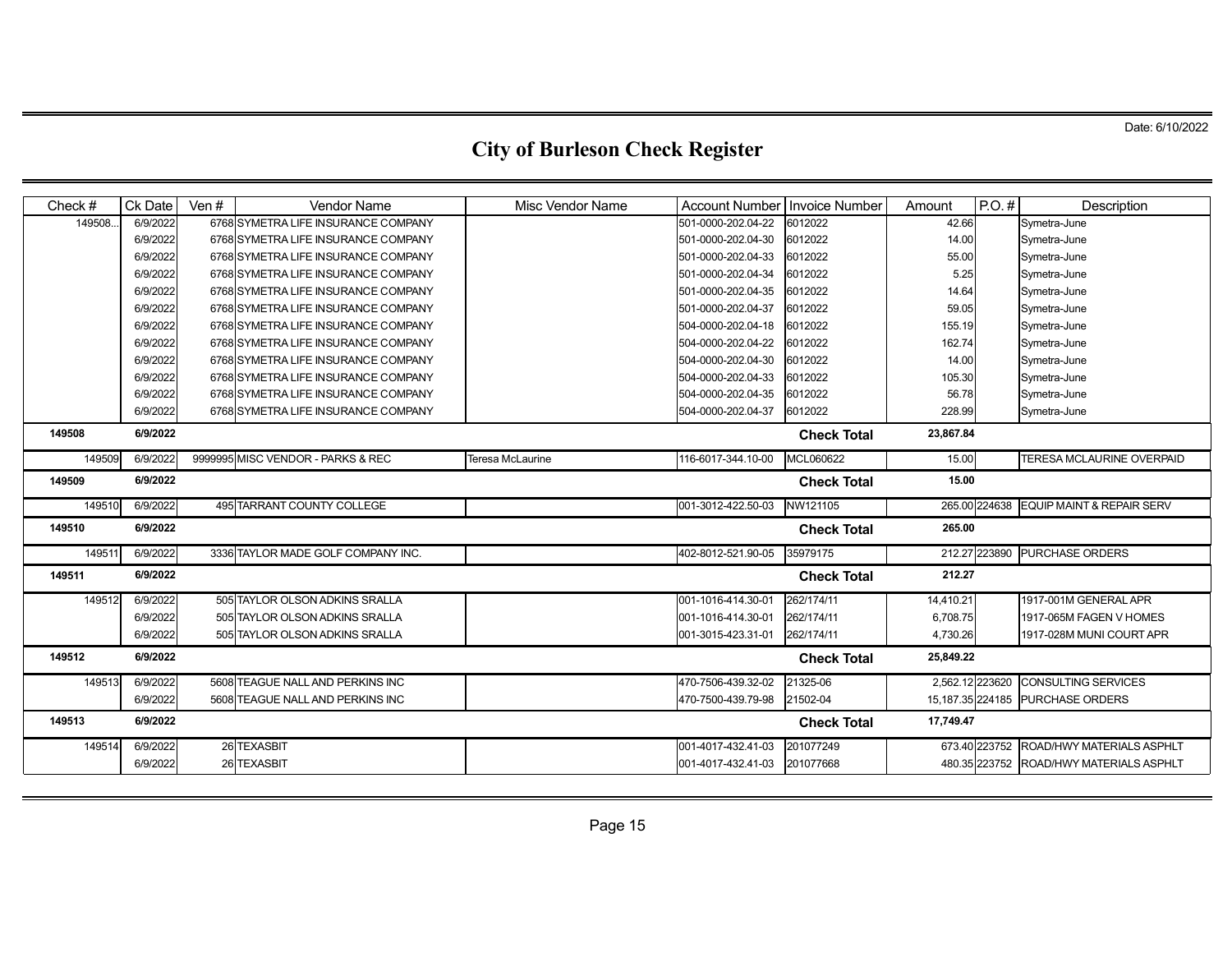| Check#  | Ck Date  | Ven $#$ | <b>Vendor Name</b>                  | <b>Misc Vendor Name</b> | Account Number   Invoice Number |                    | Amount          | $P.O.$ #      | Description                             |
|---------|----------|---------|-------------------------------------|-------------------------|---------------------------------|--------------------|-----------------|---------------|-----------------------------------------|
| 149508. | 6/9/2022 |         | 6768 SYMETRA LIFE INSURANCE COMPANY |                         | 501-0000-202.04-22              | 6012022            | 42.66           |               | Symetra-June                            |
|         | 6/9/2022 |         | 6768 SYMETRA LIFE INSURANCE COMPANY |                         | 501-0000-202.04-30              | 6012022            | 14.00           |               | Symetra-June                            |
|         | 6/9/2022 |         | 6768 SYMETRA LIFE INSURANCE COMPANY |                         | 501-0000-202.04-33              | 6012022            | 55.00           |               | Symetra-June                            |
|         | 6/9/2022 |         | 6768 SYMETRA LIFE INSURANCE COMPANY |                         | 501-0000-202.04-34              | 6012022            | 5.25            |               | Symetra-June                            |
|         | 6/9/2022 |         | 6768 SYMETRA LIFE INSURANCE COMPANY |                         | 501-0000-202.04-35              | 6012022            | 14.64           |               | Symetra-June                            |
|         | 6/9/2022 |         | 6768 SYMETRA LIFE INSURANCE COMPANY |                         | 501-0000-202.04-37              | 6012022            | 59.05           |               | Symetra-June                            |
|         | 6/9/2022 |         | 6768 SYMETRA LIFE INSURANCE COMPANY |                         | 504-0000-202.04-18              | 6012022            | 155.19          |               | Symetra-June                            |
|         | 6/9/2022 |         | 6768 SYMETRA LIFE INSURANCE COMPANY |                         | 504-0000-202.04-22              | 6012022            | 162.74          |               | Symetra-June                            |
|         | 6/9/2022 |         | 6768 SYMETRA LIFE INSURANCE COMPANY |                         | 504-0000-202.04-30              | 6012022            | 14.00           |               | Symetra-June                            |
|         | 6/9/2022 |         | 6768 SYMETRA LIFE INSURANCE COMPANY |                         | 504-0000-202.04-33              | 6012022            | 105.30          |               | Symetra-June                            |
|         | 6/9/2022 |         | 6768 SYMETRA LIFE INSURANCE COMPANY |                         | 504-0000-202.04-35              | 6012022            | 56.78           |               | Symetra-June                            |
|         | 6/9/2022 |         | 6768 SYMETRA LIFE INSURANCE COMPANY |                         | 504-0000-202.04-37              | 6012022            | 228.99          |               | Symetra-June                            |
| 149508  | 6/9/2022 |         |                                     |                         |                                 | <b>Check Total</b> | 23,867.84       |               |                                         |
| 149509  | 6/9/2022 |         | 9999995 MISC VENDOR - PARKS & REC   | Teresa McLaurine        | 116-6017-344.10-00              | MCL060622          | 15.00           |               | <b>TERESA MCLAURINE OVERPAID</b>        |
| 149509  | 6/9/2022 |         |                                     |                         |                                 | <b>Check Total</b> | 15.00           |               |                                         |
| 14951   | 6/9/2022 |         | 495 TARRANT COUNTY COLLEGE          |                         | 001-3012-422.50-03              | NW121105           |                 | 265.00 224638 | <b>EQUIP MAINT &amp; REPAIR SERV</b>    |
| 149510  | 6/9/2022 |         |                                     |                         |                                 | <b>Check Total</b> | 265.00          |               |                                         |
| 14951   | 6/9/2022 |         | 3336 TAYLOR MADE GOLF COMPANY INC.  |                         | 402-8012-521.90-05              | 35979175           |                 | 212.27 223890 | <b>PURCHASE ORDERS</b>                  |
| 149511  | 6/9/2022 |         |                                     |                         |                                 | <b>Check Total</b> | 212.27          |               |                                         |
| 149512  | 6/9/2022 |         | 505 TAYLOR OLSON ADKINS SRALLA      |                         | 001-1016-414.30-01              | 262/174/11         | 14,410.21       |               | 1917-001M GENERAL APR                   |
|         | 6/9/2022 |         | 505 TAYLOR OLSON ADKINS SRALLA      |                         | 001-1016-414.30-01              | 262/174/11         | 6,708.75        |               | 1917-065M FAGEN V HOMES                 |
|         | 6/9/2022 |         | 505 TAYLOR OLSON ADKINS SRALLA      |                         | 001-3015-423.31-01              | 262/174/11         | 4,730.26        |               | 1917-028M MUNI COURT APR                |
| 149512  | 6/9/2022 |         |                                     |                         |                                 | <b>Check Total</b> | 25,849.22       |               |                                         |
| 149513  | 6/9/2022 |         | 5608 TEAGUE NALL AND PERKINS INC    |                         | 470-7506-439.32-02              | 21325-06           | 2.562.12 223620 |               | <b>CONSULTING SERVICES</b>              |
|         | 6/9/2022 |         | 5608 TEAGUE NALL AND PERKINS INC    |                         | 470-7500-439.79-98              | 21502-04           |                 |               | 15,187.35 224185 PURCHASE ORDERS        |
| 149513  | 6/9/2022 |         |                                     |                         |                                 | <b>Check Total</b> | 17,749.47       |               |                                         |
| 149514  | 6/9/2022 |         | 26 TEXASBIT                         |                         | 001-4017-432.41-03              | 201077249          |                 | 673.40 223752 | ROAD/HWY MATERIALS ASPHLT               |
|         | 6/9/2022 |         | 26 TEXASBIT                         |                         | 001-4017-432.41-03              | 201077668          |                 |               | 480.35 223752 ROAD/HWY MATERIALS ASPHLT |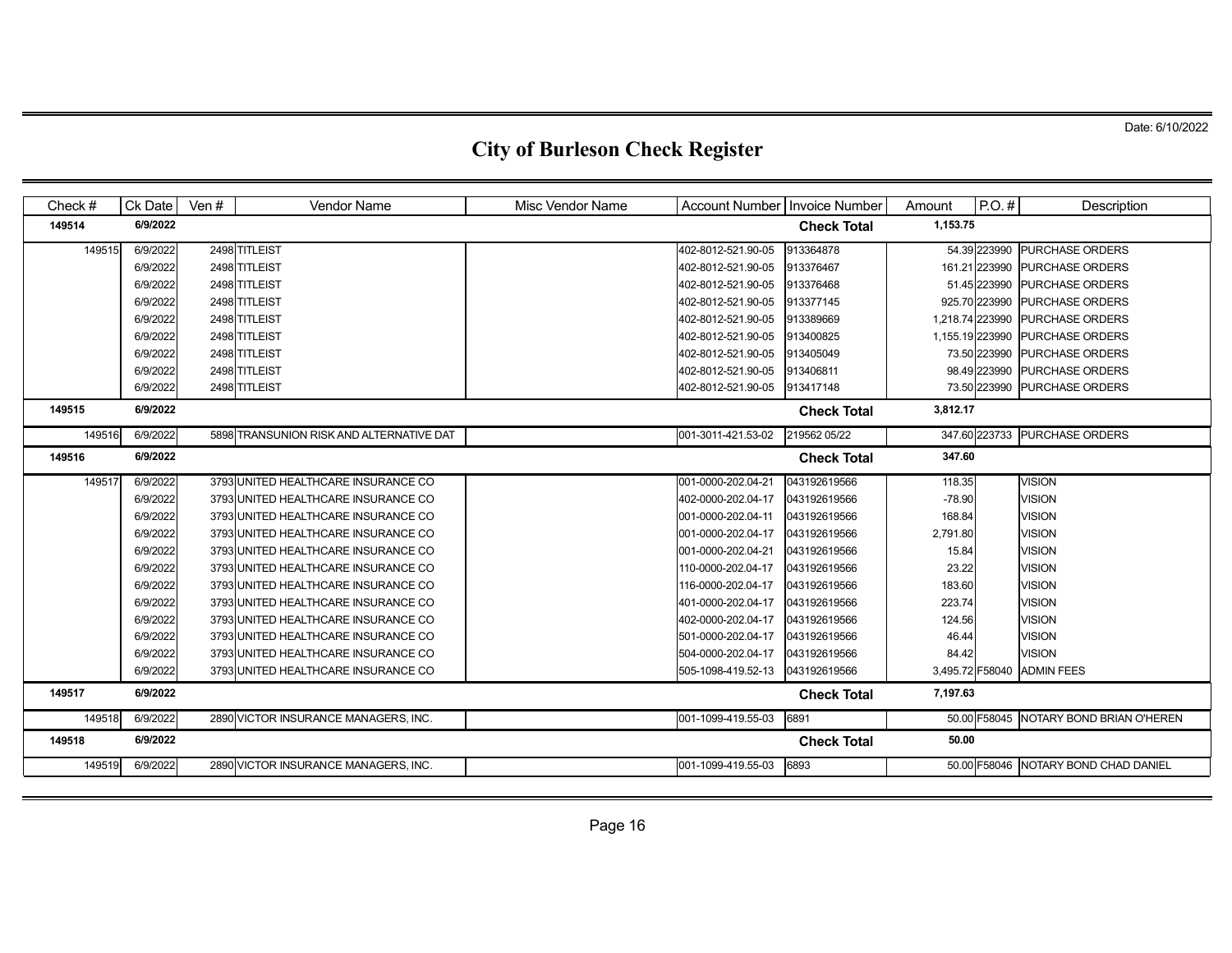| Check# | Ck Date  | Ven $#$ | <b>Vendor Name</b>                       | Misc Vendor Name | Account Number   Invoice Number |                    | Amount          | $P.O.$ #      | Description                            |
|--------|----------|---------|------------------------------------------|------------------|---------------------------------|--------------------|-----------------|---------------|----------------------------------------|
| 149514 | 6/9/2022 |         |                                          |                  |                                 | <b>Check Total</b> | 1,153.75        |               |                                        |
| 149515 | 6/9/2022 |         | 2498 TITLEIST                            |                  | 402-8012-521.90-05              | 913364878          |                 | 54.39 223990  | <b>PURCHASE ORDERS</b>                 |
|        | 6/9/2022 |         | 2498 TITLEIST                            |                  | 402-8012-521.90-05              | 913376467          |                 | 161.21 223990 | <b>PURCHASE ORDERS</b>                 |
|        | 6/9/2022 |         | 2498 TITLEIST                            |                  | 402-8012-521.90-05              | 913376468          |                 | 51.45 223990  | <b>PURCHASE ORDERS</b>                 |
|        | 6/9/2022 |         | 2498 TITLEIST                            |                  | 402-8012-521.90-05              | 913377145          |                 | 925.70 223990 | <b>PURCHASE ORDERS</b>                 |
|        | 6/9/2022 |         | 2498 TITLEIST                            |                  | 402-8012-521.90-05              | 913389669          | 1,218.74 223990 |               | <b>PURCHASE ORDERS</b>                 |
|        | 6/9/2022 |         | 2498 TITLEIST                            |                  | 402-8012-521.90-05              | 913400825          | 1,155.19 223990 |               | <b>PURCHASE ORDERS</b>                 |
|        | 6/9/2022 |         | 2498 TITLEIST                            |                  | 402-8012-521.90-05              | 913405049          |                 | 73.50 223990  | <b>PURCHASE ORDERS</b>                 |
|        | 6/9/2022 |         | 2498 TITLEIST                            |                  | 402-8012-521.90-05              | 913406811          |                 | 98.49 223990  | <b>PURCHASE ORDERS</b>                 |
|        | 6/9/2022 |         | 2498 TITLEIST                            |                  | 402-8012-521.90-05              | 913417148          |                 |               | 73.50 223990 PURCHASE ORDERS           |
| 149515 | 6/9/2022 |         |                                          |                  |                                 | <b>Check Total</b> | 3,812.17        |               |                                        |
| 149516 | 6/9/2022 |         | 5898 TRANSUNION RISK AND ALTERNATIVE DAT |                  | 001-3011-421.53-02              | 219562 05/22       |                 |               | 347.60 223733 PURCHASE ORDERS          |
| 149516 | 6/9/2022 |         |                                          |                  |                                 | <b>Check Total</b> | 347.60          |               |                                        |
| 149517 | 6/9/2022 |         | 3793 UNITED HEALTHCARE INSURANCE CO      |                  | 001-0000-202.04-21              | 043192619566       | 118.35          |               | <b>VISION</b>                          |
|        | 6/9/2022 |         | 3793 UNITED HEALTHCARE INSURANCE CO      |                  | 402-0000-202.04-17              | 043192619566       | $-78.90$        |               | <b>VISION</b>                          |
|        | 6/9/2022 |         | 3793 UNITED HEALTHCARE INSURANCE CO      |                  | 001-0000-202.04-11              | 043192619566       | 168.84          |               | <b>VISION</b>                          |
|        | 6/9/2022 |         | 3793 UNITED HEALTHCARE INSURANCE CO      |                  | 001-0000-202.04-17              | 043192619566       | 2,791.80        |               | <b>VISION</b>                          |
|        | 6/9/2022 |         | 3793 UNITED HEALTHCARE INSURANCE CO      |                  | 001-0000-202.04-21              | 043192619566       | 15.84           |               | <b>VISION</b>                          |
|        | 6/9/2022 |         | 3793 UNITED HEALTHCARE INSURANCE CO      |                  | 110-0000-202.04-17              | 043192619566       | 23.22           |               | <b>VISION</b>                          |
|        | 6/9/2022 |         | 3793 UNITED HEALTHCARE INSURANCE CO      |                  | 116-0000-202.04-17              | 043192619566       | 183.60          |               | <b>VISION</b>                          |
|        | 6/9/2022 |         | 3793 UNITED HEALTHCARE INSURANCE CO      |                  | 401-0000-202.04-17              | 043192619566       | 223.74          |               | <b>VISION</b>                          |
|        | 6/9/2022 |         | 3793 UNITED HEALTHCARE INSURANCE CO      |                  | 402-0000-202.04-17              | 043192619566       | 124.56          |               | <b>VISION</b>                          |
|        | 6/9/2022 |         | 3793 UNITED HEALTHCARE INSURANCE CO      |                  | 501-0000-202.04-17              | 043192619566       | 46.44           |               | <b>VISION</b>                          |
|        | 6/9/2022 |         | 3793 UNITED HEALTHCARE INSURANCE CO      |                  | 504-0000-202.04-17              | 043192619566       | 84.42           |               | <b>VISION</b>                          |
|        | 6/9/2022 |         | 3793 UNITED HEALTHCARE INSURANCE CO      |                  | 505-1098-419.52-13              | 043192619566       |                 |               | 3,495.72 F58040 ADMIN FEES             |
| 149517 | 6/9/2022 |         |                                          |                  |                                 | <b>Check Total</b> | 7,197.63        |               |                                        |
| 149518 | 6/9/2022 |         | 2890 VICTOR INSURANCE MANAGERS, INC.     |                  | 001-1099-419.55-03              | 6891               |                 |               | 50.00 F58045 NOTARY BOND BRIAN O'HEREN |
| 149518 | 6/9/2022 |         |                                          |                  |                                 | <b>Check Total</b> | 50.00           |               |                                        |
| 149519 | 6/9/2022 |         | 2890 VICTOR INSURANCE MANAGERS, INC.     |                  | 001-1099-419.55-03              | 6893               |                 |               | 50.00 F58046 NOTARY BOND CHAD DANIEL   |